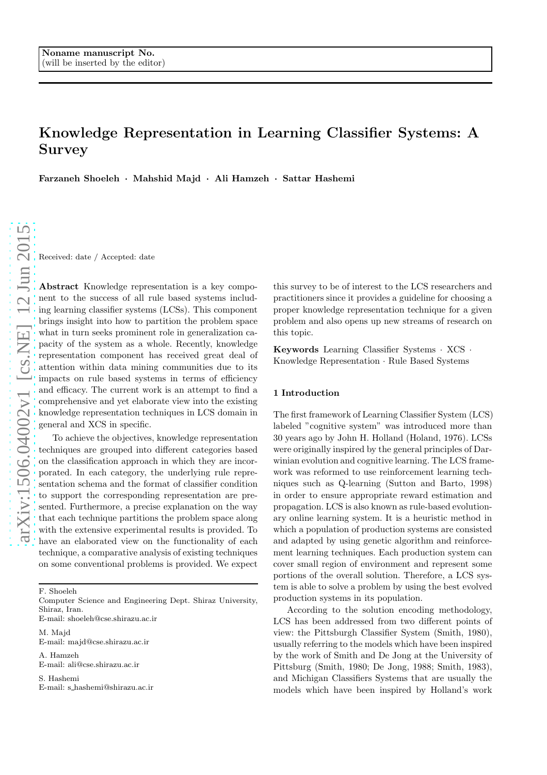# Knowledge Representation in Learning Classifier Systems: A Survey

Farzaneh Shoeleh · Mahshid Majd · Ali Hamzeh · Sattar Hashemi

Received: date / Accepted: date

Abstract Knowledge representation is a key component to the success of all rule based systems including learning classifier systems (LCSs). This component brings insight into how to partition the problem space what in turn seeks prominent role in generalization capacity of the system as a whole. Recently, knowledge representation component has received great deal of attention within data mining communities due to its impacts on rule based systems in terms of efficiency and efficacy. The current work is an attempt to find a comprehensive and yet elaborate view into the existing knowledge representation techniques in LCS domain in general and XCS in specific.

To achieve the objectives, knowledge representation techniques are grouped into different categories based on the classification approach in which they are incorporated. In each category, the underlying rule representation schema and the format of classifier condition to support the corresponding representation are presented. Furthermore, a precise explanation on the way that each technique partitions the problem space along with the extensive experimental results is provided. To have an elaborated view on the functionality of each technique, a comparative analysis of existing techniques on some conventional problems is provided. We expect

F. Shoeleh

Computer Science and Engineering Dept. Shiraz University, Shiraz, Iran.

E-mail: shoeleh@cse.shirazu.ac.ir

M. Majd E-mail: majd@cse.shirazu.ac.ir

A. Hamzeh E-mail: ali@cse.shirazu.ac.ir

S. Hashemi E-mail: s hashemi@shirazu.ac.ir this survey to be of interest to the LCS researchers and practitioners since it provides a guideline for choosing a proper knowledge representation technique for a given problem and also opens up new streams of research on this topic.

Keywords Learning Classifier Systems · XCS · Knowledge Representation · Rule Based Systems

## 1 Introduction

The first framework of Learning Classifier System (LCS) labeled "cognitive system" was introduced more than 30 years ago by John H. Holland (Holand, 1976). LCSs were originally inspired by the general principles of Darwinian evolution and cognitive learning. The LCS framework was reformed to use reinforcement learning techniques such as Q-learning (Sutton and Barto, 1998) in order to ensure appropriate reward estimation and propagation. LCS is also known as rule-based evolutionary online learning system. It is a heuristic method in which a population of production systems are consisted and adapted by using genetic algorithm and reinforcement learning techniques. Each production system can cover small region of environment and represent some portions of the overall solution. Therefore, a LCS system is able to solve a problem by using the best evolved production systems in its population.

According to the solution encoding methodology, LCS has been addressed from two different points of view: the Pittsburgh Classifier System (Smith, 1980), usually referring to the models which have been inspired by the work of Smith and De Jong at the University of Pittsburg (Smith, 1980; De Jong, 1988; Smith, 1983), and Michigan Classifiers Systems that are usually the models which have been inspired by Holland's work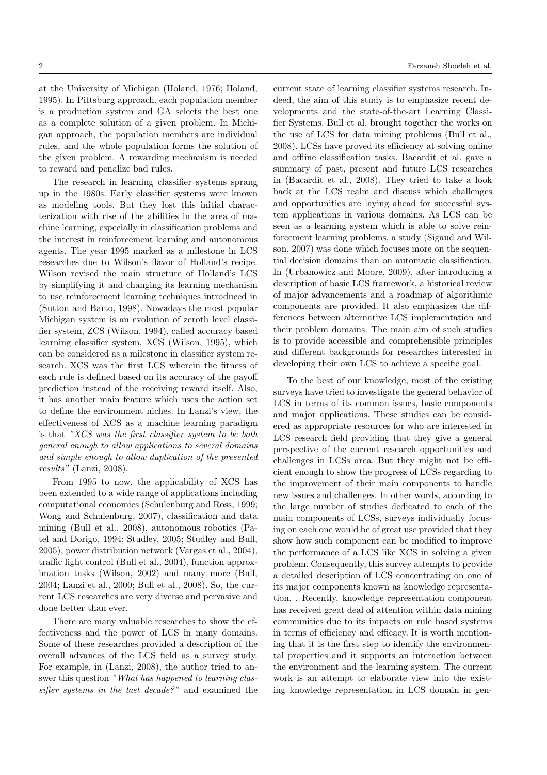at the University of Michigan (Holand, 1976; Holand, 1995). In Pittsburg approach, each population member is a production system and GA selects the best one as a complete solution of a given problem. In Michigan approach, the population members are individual rules, and the whole population forms the solution of the given problem. A rewarding mechanism is needed to reward and penalize bad rules.

The research in learning classifier systems sprang up in the 1980s. Early classifier systems were known as modeling tools. But they lost this initial characterization with rise of the abilities in the area of machine learning, especially in classification problems and the interest in reinforcement learning and autonomous agents. The year 1995 marked as a milestone in LCS researches due to Wilson's flavor of Holland's recipe. Wilson revised the main structure of Holland's LCS by simplifying it and changing its learning mechanism to use reinforcement learning techniques introduced in (Sutton and Barto, 1998). Nowadays the most popular Michigan system is an evolution of zeroth level classifier system, ZCS (Wilson, 1994), called accuracy based learning classifier system, XCS (Wilson, 1995), which can be considered as a milestone in classifier system research. XCS was the first LCS wherein the fitness of each rule is defined based on its accuracy of the payoff prediction instead of the receiving reward itself. Also, it has another main feature which uses the action set to define the environment niches. In Lanzi's view, the effectiveness of XCS as a machine learning paradigm is that "XCS was the first classifier system to be both general enough to allow applications to several domains and simple enough to allow duplication of the presented results" (Lanzi, 2008).

From 1995 to now, the applicability of XCS has been extended to a wide range of applications including computational economics (Schulenburg and Ross, 1999; Wong and Schulenburg, 2007), classification and data mining (Bull et al., 2008), autonomous robotics (Patel and Dorigo, 1994; Studley, 2005; Studley and Bull, 2005), power distribution network (Vargas et al., 2004), traffic light control (Bull et al., 2004), function approximation tasks (Wilson, 2002) and many more (Bull, 2004; Lanzi et al., 2000; Bull et al., 2008). So, the current LCS researches are very diverse and pervasive and done better than ever.

There are many valuable researches to show the effectiveness and the power of LCS in many domains. Some of these researches provided a description of the overall advances of the LCS field as a survey study. For example, in (Lanzi, 2008), the author tried to answer this question "What has happened to learning classifier systems in the last decade?" and examined the current state of learning classifier systems research. Indeed, the aim of this study is to emphasize recent developments and the state-of-the-art Learning Classifier Systems. Bull et al. brought together the works on the use of LCS for data mining problems (Bull et al., 2008). LCSs have proved its efficiency at solving online and offline classification tasks. Bacardit et al. gave a summary of past, present and future LCS researches in (Bacardit et al., 2008). They tried to take a look back at the LCS realm and discuss which challenges and opportunities are laying ahead for successful system applications in various domains. As LCS can be seen as a learning system which is able to solve reinforcement learning problems, a study (Sigaud and Wilson, 2007) was done which focuses more on the sequential decision domains than on automatic classification. In (Urbanowicz and Moore, 2009), after introducing a description of basic LCS framework, a historical review of major advancements and a roadmap of algorithmic components are provided. It also emphasizes the differences between alternative LCS implementation and their problem domains. The main aim of such studies is to provide accessible and comprehensible principles and different backgrounds for researches interested in developing their own LCS to achieve a specific goal.

To the best of our knowledge, most of the existing surveys have tried to investigate the general behavior of LCS in terms of its common issues, basic components and major applications. These studies can be considered as appropriate resources for who are interested in LCS research field providing that they give a general perspective of the current research opportunities and challenges in LCSs area. But they might not be efficient enough to show the progress of LCSs regarding to the improvement of their main components to handle new issues and challenges. In other words, according to the large number of studies dedicated to each of the main components of LCSs, surveys individually focusing on each one would be of great use provided that they show how such component can be modified to improve the performance of a LCS like XCS in solving a given problem. Consequently, this survey attempts to provide a detailed description of LCS concentrating on one of its major components known as knowledge representation. . Recently, knowledge representation component has received great deal of attention within data mining communities due to its impacts on rule based systems in terms of efficiency and efficacy. It is worth mentioning that it is the first step to identify the environmental properties and it supports an interaction between the environment and the learning system. The current work is an attempt to elaborate view into the existing knowledge representation in LCS domain in gen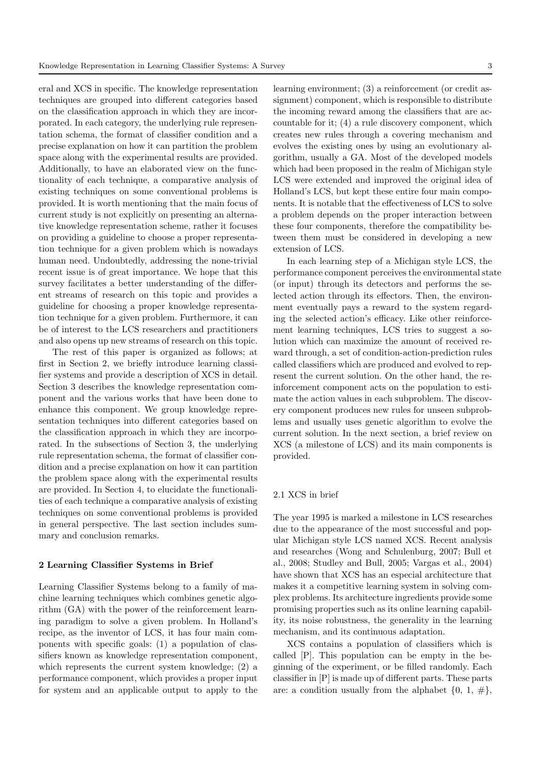eral and XCS in specific. The knowledge representation techniques are grouped into different categories based on the classification approach in which they are incorporated. In each category, the underlying rule representation schema, the format of classifier condition and a precise explanation on how it can partition the problem space along with the experimental results are provided. Additionally, to have an elaborated view on the functionality of each technique, a comparative analysis of existing techniques on some conventional problems is provided. It is worth mentioning that the main focus of current study is not explicitly on presenting an alternative knowledge representation scheme, rather it focuses on providing a guideline to choose a proper representation technique for a given problem which is nowadays human need. Undoubtedly, addressing the none-trivial recent issue is of great importance. We hope that this survey facilitates a better understanding of the different streams of research on this topic and provides a guideline for choosing a proper knowledge representation technique for a given problem. Furthermore, it can be of interest to the LCS researchers and practitioners and also opens up new streams of research on this topic.

The rest of this paper is organized as follows; at first in Section 2, we briefly introduce learning classifier systems and provide a description of XCS in detail. Section 3 describes the knowledge representation component and the various works that have been done to enhance this component. We group knowledge representation techniques into different categories based on the classification approach in which they are incorporated. In the subsections of Section 3, the underlying rule representation schema, the format of classifier condition and a precise explanation on how it can partition the problem space along with the experimental results are provided. In Section 4, to elucidate the functionalities of each technique a comparative analysis of existing techniques on some conventional problems is provided in general perspective. The last section includes summary and conclusion remarks.

#### 2 Learning Classifier Systems in Brief

Learning Classifier Systems belong to a family of machine learning techniques which combines genetic algorithm (GA) with the power of the reinforcement learning paradigm to solve a given problem. In Holland's recipe, as the inventor of LCS, it has four main components with specific goals: (1) a population of classifiers known as knowledge representation component, which represents the current system knowledge; (2) a performance component, which provides a proper input for system and an applicable output to apply to the

learning environment; (3) a reinforcement (or credit assignment) component, which is responsible to distribute the incoming reward among the classifiers that are accountable for it; (4) a rule discovery component, which creates new rules through a covering mechanism and evolves the existing ones by using an evolutionary algorithm, usually a GA. Most of the developed models which had been proposed in the realm of Michigan style LCS were extended and improved the original idea of Holland's LCS, but kept these entire four main components. It is notable that the effectiveness of LCS to solve a problem depends on the proper interaction between these four components, therefore the compatibility between them must be considered in developing a new extension of LCS.

In each learning step of a Michigan style LCS, the performance component perceives the environmental state (or input) through its detectors and performs the selected action through its effectors. Then, the environment eventually pays a reward to the system regarding the selected action's efficacy. Like other reinforcement learning techniques, LCS tries to suggest a solution which can maximize the amount of received reward through, a set of condition-action-prediction rules called classifiers which are produced and evolved to represent the current solution. On the other hand, the reinforcement component acts on the population to estimate the action values in each subproblem. The discovery component produces new rules for unseen subproblems and usually uses genetic algorithm to evolve the current solution. In the next section, a brief review on XCS (a milestone of LCS) and its main components is provided.

## 2.1 XCS in brief

The year 1995 is marked a milestone in LCS researches due to the appearance of the most successful and popular Michigan style LCS named XCS. Recent analysis and researches (Wong and Schulenburg, 2007; Bull et al., 2008; Studley and Bull, 2005; Vargas et al., 2004) have shown that XCS has an especial architecture that makes it a competitive learning system in solving complex problems. Its architecture ingredients provide some promising properties such as its online learning capability, its noise robustness, the generality in the learning mechanism, and its continuous adaptation.

XCS contains a population of classifiers which is called [P]. This population can be empty in the beginning of the experiment, or be filled randomly. Each classifier in [P] is made up of different parts. These parts are: a condition usually from the alphabet  $\{0, 1, \# \},\$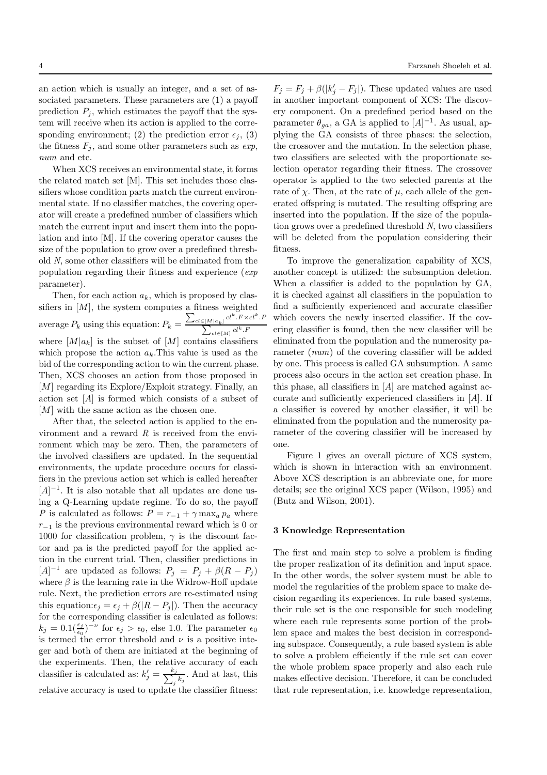an action which is usually an integer, and a set of associated parameters. These parameters are (1) a payoff prediction  $P_i$ , which estimates the payoff that the system will receive when its action is applied to the corresponding environment; (2) the prediction error  $\epsilon_j$ , (3) the fitness  $F_j$ , and some other parameters such as  $exp$ , num and etc.

When XCS receives an environmental state, it forms the related match set [M]. This set includes those classifiers whose condition parts match the current environmental state. If no classifier matches, the covering operator will create a predefined number of classifiers which match the current input and insert them into the population and into [M]. If the covering operator causes the size of the population to grow over a predefined threshold N, some other classifiers will be eliminated from the population regarding their fitness and experience (exp parameter).

Then, for each action  $a_k$ , which is proposed by classifiers in  $[M]$ , the system computes a fitness weighted average  $P_k$  using this equation:  $P_k = \frac{\sum_{cl \in [M]a_k]} cl^k.F \times cl^k.F}{cl^k.F}$  $\sum_{c} l \in [M]} c l^k \cdot F$ where  $[M]a_k]$  is the subset of  $[M]$  contains classifiers which propose the action  $a_k$ . This value is used as the bid of the corresponding action to win the current phase. Then, XCS chooses an action from those proposed in [M] regarding its Explore/Exploit strategy. Finally, an action set [A] is formed which consists of a subset of [M] with the same action as the chosen one.

After that, the selected action is applied to the environment and a reward  $R$  is received from the environment which may be zero. Then, the parameters of the involved classifiers are updated. In the sequential environments, the update procedure occurs for classifiers in the previous action set which is called hereafter  $[A]^{-1}$ . It is also notable that all updates are done using a Q-Learning update regime. To do so, the payoff P is calculated as follows:  $P = r_{-1} + \gamma \max_a p_a$  where  $r_{-1}$  is the previous environmental reward which is 0 or 1000 for classification problem,  $\gamma$  is the discount factor and pa is the predicted payoff for the applied action in the current trial. Then, classifier predictions in  $[A]^{-1}$  are updated as follows:  $P_j = P_j + \beta(R - P_j)$ where  $\beta$  is the learning rate in the Widrow-Hoff update rule. Next, the prediction errors are re-estimated using this equation: $\epsilon_j = \epsilon_j + \beta(|R - P_j|)$ . Then the accuracy for the corresponding classifier is calculated as follows:  $k_j = 0.1(\frac{\epsilon_j}{\epsilon_0})^{-\nu}$  for  $\epsilon_j > \epsilon_0$ , else 1.0. The parameter  $\epsilon_0$ is termed the error threshold and  $\nu$  is a positive integer and both of them are initiated at the beginning of the experiments. Then, the relative accuracy of each classifier is calculated as:  $k'_j = \frac{k_j}{\sum_i k_j}$  $\frac{i_j}{j}$   $k_j$ . And at last, this relative accuracy is used to update the classifier fitness:

 $F_j = F_j + \beta(|k'_j - F_j|)$ . These updated values are used in another important component of XCS: The discovery component. On a predefined period based on the parameter  $\theta_{ga}$ , a GA is applied to  $[A]^{-1}$ . As usual, applying the GA consists of three phases: the selection, the crossover and the mutation. In the selection phase, two classifiers are selected with the proportionate selection operator regarding their fitness. The crossover operator is applied to the two selected parents at the rate of  $\chi$ . Then, at the rate of  $\mu$ , each allele of the generated offspring is mutated. The resulting offspring are inserted into the population. If the size of the population grows over a predefined threshold N, two classifiers will be deleted from the population considering their fitness.

To improve the generalization capability of XCS, another concept is utilized: the subsumption deletion. When a classifier is added to the population by GA, it is checked against all classifiers in the population to find a sufficiently experienced and accurate classifier which covers the newly inserted classifier. If the covering classifier is found, then the new classifier will be eliminated from the population and the numerosity parameter (num) of the covering classifier will be added by one. This process is called GA subsumption. A same process also occurs in the action set creation phase. In this phase, all classifiers in  $[A]$  are matched against accurate and sufficiently experienced classifiers in [A]. If a classifier is covered by another classifier, it will be eliminated from the population and the numerosity parameter of the covering classifier will be increased by one.

Figure 1 gives an overall picture of XCS system, which is shown in interaction with an environment. Above XCS description is an abbreviate one, for more details; see the original XCS paper (Wilson, 1995) and (Butz and Wilson, 2001).

## 3 Knowledge Representation

The first and main step to solve a problem is finding the proper realization of its definition and input space. In the other words, the solver system must be able to model the regularities of the problem space to make decision regarding its experiences. In rule based systems, their rule set is the one responsible for such modeling where each rule represents some portion of the problem space and makes the best decision in corresponding subspace. Consequently, a rule based system is able to solve a problem efficiently if the rule set can cover the whole problem space properly and also each rule makes effective decision. Therefore, it can be concluded that rule representation, i.e. knowledge representation,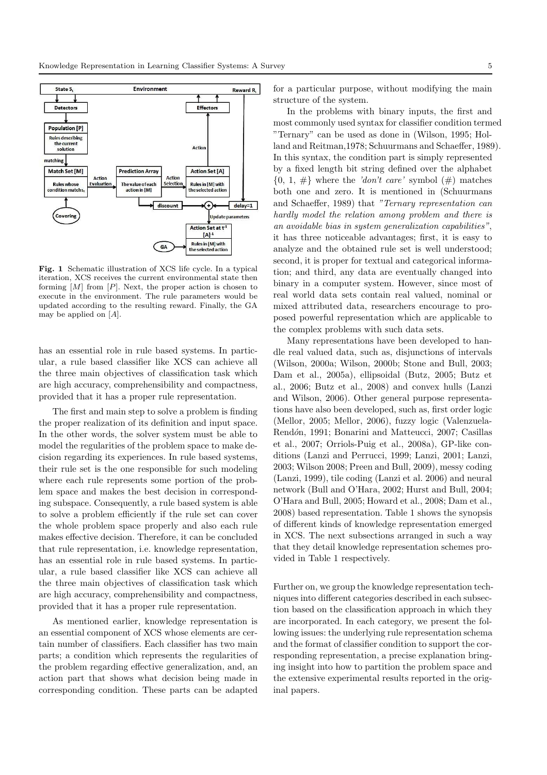

Fig. 1 Schematic illustration of XCS life cycle. In a typical iteration, XCS receives the current environmental state then forming  $[M]$  from  $[P]$ . Next, the proper action is chosen to execute in the environment. The rule parameters would be updated according to the resulting reward. Finally, the GA may be applied on  $[A]$ .

has an essential role in rule based systems. In particular, a rule based classifier like XCS can achieve all the three main objectives of classification task which are high accuracy, comprehensibility and compactness, provided that it has a proper rule representation.

The first and main step to solve a problem is finding the proper realization of its definition and input space. In the other words, the solver system must be able to model the regularities of the problem space to make decision regarding its experiences. In rule based systems, their rule set is the one responsible for such modeling where each rule represents some portion of the problem space and makes the best decision in corresponding subspace. Consequently, a rule based system is able to solve a problem efficiently if the rule set can cover the whole problem space properly and also each rule makes effective decision. Therefore, it can be concluded that rule representation, i.e. knowledge representation, has an essential role in rule based systems. In particular, a rule based classifier like XCS can achieve all the three main objectives of classification task which are high accuracy, comprehensibility and compactness, provided that it has a proper rule representation.

As mentioned earlier, knowledge representation is an essential component of XCS whose elements are certain number of classifiers. Each classifier has two main parts; a condition which represents the regularities of the problem regarding effective generalization, and, an action part that shows what decision being made in corresponding condition. These parts can be adapted for a particular purpose, without modifying the main structure of the system.

In the problems with binary inputs, the first and most commonly used syntax for classifier condition termed "Ternary" can be used as done in (Wilson, 1995; Holland and Reitman,1978; Schuurmans and Schaeffer, 1989). In this syntax, the condition part is simply represented by a fixed length bit string defined over the alphabet  $\{0, 1, \#\}$  where the 'don't care' symbol  $(\#)$  matches both one and zero. It is mentioned in (Schuurmans and Schaeffer, 1989) that "Ternary representation can hardly model the relation among problem and there is an avoidable bias in system generalization capabilities", it has three noticeable advantages; first, it is easy to analyze and the obtained rule set is well understood; second, it is proper for textual and categorical information; and third, any data are eventually changed into binary in a computer system. However, since most of real world data sets contain real valued, nominal or mixed attributed data, researchers encourage to proposed powerful representation which are applicable to the complex problems with such data sets.

Many representations have been developed to handle real valued data, such as, disjunctions of intervals (Wilson, 2000a; Wilson, 2000b; Stone and Bull, 2003; Dam et al., 2005a), ellipsoidal (Butz, 2005; Butz et al., 2006; Butz et al., 2008) and convex hulls (Lanzi and Wilson, 2006). Other general purpose representations have also been developed, such as, first order logic (Mellor, 2005; Mellor, 2006), fuzzy logic (Valenzuela-Rendón, 1991; Bonarini and Matteucci, 2007; Casillas et al., 2007; Orriols-Puig et al., 2008a), GP-like conditions (Lanzi and Perrucci, 1999; Lanzi, 2001; Lanzi, 2003; Wilson 2008; Preen and Bull, 2009), messy coding (Lanzi, 1999), tile coding (Lanzi et al. 2006) and neural network (Bull and O'Hara, 2002; Hurst and Bull, 2004; O'Hara and Bull, 2005; Howard et al., 2008; Dam et al., 2008) based representation. Table 1 shows the synopsis of different kinds of knowledge representation emerged in XCS. The next subsections arranged in such a way that they detail knowledge representation schemes provided in Table 1 respectively.

Further on, we group the knowledge representation techniques into different categories described in each subsection based on the classification approach in which they are incorporated. In each category, we present the following issues: the underlying rule representation schema and the format of classifier condition to support the corresponding representation, a precise explanation bringing insight into how to partition the problem space and the extensive experimental results reported in the original papers.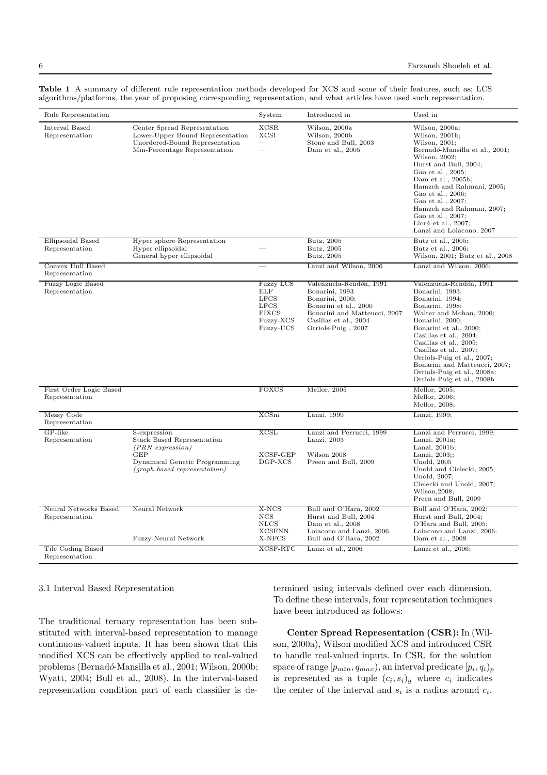| Rule Representation                        |                                                                                                                                                         | System                                                                                                 | Introduced in                                                                                                                                                        | Used in                                                                                                                                                                                                                                                                                                                                                            |
|--------------------------------------------|---------------------------------------------------------------------------------------------------------------------------------------------------------|--------------------------------------------------------------------------------------------------------|----------------------------------------------------------------------------------------------------------------------------------------------------------------------|--------------------------------------------------------------------------------------------------------------------------------------------------------------------------------------------------------------------------------------------------------------------------------------------------------------------------------------------------------------------|
| Interval Based<br>Representation           | Center Spread Representation<br>Lower-Upper Bound Representation<br>Unordered-Bound Representation<br>Min-Percentage Representation                     | <b>XCSR</b><br><b>XCSI</b>                                                                             | Wilson, 2000a<br>Wilson, 2000b<br>Stone and Bull, 2003<br>Dam et al., 2005                                                                                           | Wilson, 2000a;<br>Wilson, 2001b;<br>Wilson, 2001;<br>Bernadó-Mansilla et al., 2001;<br>Wilson, 2002;<br>Hurst and Bull, 2004;<br>Gao et al., 2005;<br>Dam et al., 2005b;<br>Hamzeh and Rahmani, 2005;<br>Gao et al., 2006;<br>Gao et al., 2007;<br>Hamzeh and Rahmani, 2007;<br>Gao et al., 2007;<br>Llorá et al., $2007$ ;<br>Lanzi and Loiacono, 2007            |
| Ellipsoidal Based<br>Representation        | Hyper sphere Representation<br>Hyper ellipsoidal<br>General hyper ellipsoidal                                                                           |                                                                                                        | Butz, 2005<br>Butz, 2005<br>Butz, 2005                                                                                                                               | Butz et al., 2005;<br>Butz et al., 2006;<br>Wilson, 2001; Butz et al., 2008                                                                                                                                                                                                                                                                                        |
| Convex Hull Based<br>Representation        |                                                                                                                                                         |                                                                                                        | Lanzi and Wilson, 2006                                                                                                                                               | Lanzi and Wilson, 2006;                                                                                                                                                                                                                                                                                                                                            |
| <b>Fuzzy Logic Based</b><br>Representation |                                                                                                                                                         | <b>Fuzzy LCS</b><br><b>ELF</b><br><b>LFCS</b><br><b>LFCS</b><br><b>FIXCS</b><br>Fuzzy-XCS<br>Fuzzy-UCS | Valenzuela-Rendón, 1991<br>Bonarini, 1993<br>Bonarini, 2000;<br>Bonarini et al., 2000<br>Bonarini and Matteucci, 2007<br>Casillas et al., 2004<br>Orriols-Puig, 2007 | Valenzuela-Rendón, 1991<br>Bonarini, 1993;<br>Bonarini, 1994;<br>Bonarini, 1998;<br>Walter and Mohan, 2000;<br>Bonarini, 2000;<br>Bonarini et al., 2000;<br>Casillas et al., 2004;<br>Casillas et al., 2005;<br>Casillas et al., 2007;<br>Orriols-Puig et al., 2007;<br>Bonarini and Matteucci, 2007;<br>Orriols-Puig et al., 2008a;<br>Orriols-Puig et al., 2008b |
| First Order Logic Based<br>Representation  |                                                                                                                                                         | <b>FOXCS</b>                                                                                           | Mellor, 2005                                                                                                                                                         | Mellor, 2005;<br>Mellor, 2006;<br>Mellor, 2008;                                                                                                                                                                                                                                                                                                                    |
| Messy Code<br>Representation               |                                                                                                                                                         | XCSm                                                                                                   | Lanzi, 1999                                                                                                                                                          | Lanzi, 1999;                                                                                                                                                                                                                                                                                                                                                       |
| GP-like<br>Representation                  | S-expression<br><b>Stack Based Representation</b><br>$(PRN)$ expression)<br><b>GEP</b><br>Dynamical Genetic Programming<br>(graph based representation) | XCSL<br>XCSF-GEP<br>DGP-XCS                                                                            | Lanzi and Perrucci, 1999<br>Lanzi, 2003<br>Wilson 2008<br>Preen and Bull, 2009                                                                                       | Lanzi and Perrucci, 1999;<br>Lanzi, $2001a$ ;<br>Lanzi, $2001b$ ;<br>Lanzi, 2003;;<br>Unold, 2005<br>Unold and Cielecki, 2005;<br>Unold, 2007;<br>Cielecki and Unold, 2007;<br>Wilson, 2008;<br>Preen and Bull, 2009                                                                                                                                               |
| Neural Networks Based<br>Representation    | Neural Network<br>Fuzzy-Neural Network                                                                                                                  | X-NCS<br>$_{\rm NCS}$<br><b>NLCS</b><br><b>XCSFNN</b><br>X-NFCS                                        | Bull and O'Hara, 2002<br>Hurst and Bull, 2004<br>Dam et al., 2008<br>Loiacono and Lanzi, 2006<br>Bull and O'Hara, 2002                                               | Bull and O'Hara, 2002;<br>Hurst and Bull, 2004;<br>O'Hara and Bull, 2005;<br>Loiacono and Lanzi, 2006;<br>Dam et al., 2008                                                                                                                                                                                                                                         |
| Tile Coding Based<br>Representation        |                                                                                                                                                         | XCSF-RTC                                                                                               | Lanzi et al., 2006                                                                                                                                                   | Lanzi et al., 2006;                                                                                                                                                                                                                                                                                                                                                |

Table 1 A summary of different rule representation methods developed for XCS and some of their features, such as; LCS algorithms/platforms, the year of proposing corresponding representation, and what articles have used such representation.

#### 3.1 Interval Based Representation

The traditional ternary representation has been substituted with interval-based representation to manage continuous-valued inputs. It has been shown that this modified XCS can be effectively applied to real-valued problems (Bernadó-Mansilla et al., 2001; Wilson, 2000b; Wyatt, 2004; Bull et al., 2008). In the interval-based representation condition part of each classifier is de-

termined using intervals defined over each dimension. To define these intervals, four representation techniques have been introduced as follows:

Center Spread Representation (CSR): In (Wilson, 2000a), Wilson modified XCS and introduced CSR to handle real-valued inputs. In CSR, for the solution space of range  $[p_{min}, q_{max})$ , an interval predicate  $[p_i, q_i]_p$ is represented as a tuple  $(c_i, s_i)$ <sub>g</sub> where  $c_i$  indicates the center of the interval and  $s_i$  is a radius around  $c_i$ .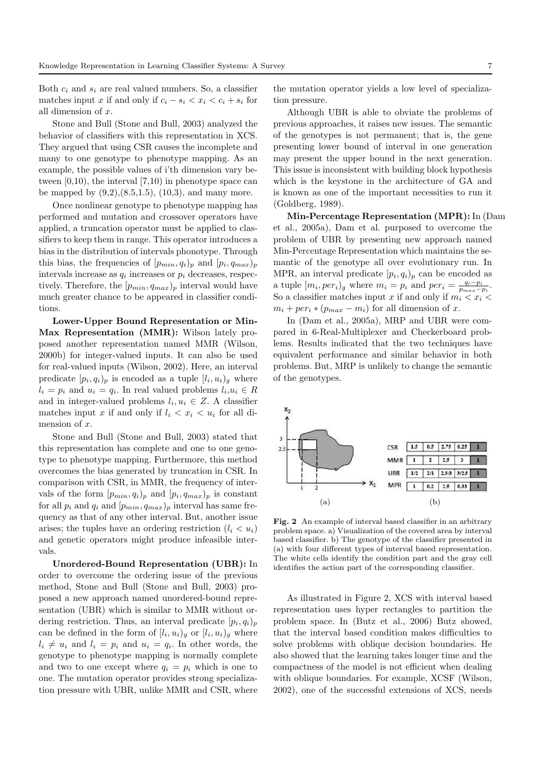Both  $c_i$  and  $s_i$  are real valued numbers. So, a classifier matches input x if and only if  $c_i - s_i < x_i < c_i + s_i$  for all dimension of x.

Stone and Bull (Stone and Bull, 2003) analyzed the behavior of classifiers with this representation in XCS. They argued that using CSR causes the incomplete and many to one genotype to phenotype mapping. As an example, the possible values of i'th dimension vary between  $[0,10)$ , the interval  $[7,10)$  in phenotype space can be mapped by  $(9,2), (8.5,1.5), (10,3),$  and many more.

Once nonlinear genotype to phenotype mapping has performed and mutation and crossover operators have applied, a truncation operator must be applied to classifiers to keep them in range. This operator introduces a bias in the distribution of intervals phonotype. Through this bias, the frequencies of  $[p_{min}, q_i)_p$  and  $[p_i, q_{max})_p$ intervals increase as  $q_i$  increases or  $p_i$  decreases, respectively. Therefore, the  $[p_{min}, q_{max}]_p$  interval would have much greater chance to be appeared in classifier conditions.

Lower-Upper Bound Representation or Min-Max Representation (MMR): Wilson lately proposed another representation named MMR (Wilson, 2000b) for integer-valued inputs. It can also be used for real-valued inputs (Wilson, 2002). Here, an interval predicate  $[p_i, q_i]_p$  is encoded as a tuple  $[l_i, u_i]_g$  where  $l_i = p_i$  and  $u_i = q_i$ . In real valued problems  $l_i, u_i \in R$ and in integer-valued problems  $l_i, u_i \in Z$ . A classifier matches input x if and only if  $l_i < x_i < u_i$  for all dimension of  $x$ .

Stone and Bull (Stone and Bull, 2003) stated that this representation has complete and one to one genotype to phenotype mapping. Furthermore, this method overcomes the bias generated by truncation in CSR. In comparison with CSR, in MMR, the frequency of intervals of the form  $[p_{min}, q_i)_p$  and  $[p_i, q_{max})_p$  is constant for all  $p_i$  and  $q_i$  and  $[p_{min}, q_{max}]_p$  interval has same frequency as that of any other interval. But, another issue arises; the tuples have an ordering restriction  $(l_i < u_i)$ and genetic operators might produce infeasible intervals.

Unordered-Bound Representation (UBR): In order to overcome the ordering issue of the previous method, Stone and Bull (Stone and Bull, 2003) proposed a new approach named unordered-bound representation (UBR) which is similar to MMR without ordering restriction. Thus, an interval predicate  $(p_i, q_i)_p$ can be defined in the form of  $[l_i, u_i)_g$  or  $[l_i, u_i)_g$  where  $l_i \neq u_i$  and  $l_i = p_i$  and  $u_i = q_i$ . In other words, the genotype to phenotype mapping is normally complete and two to one except where  $q_i = p_i$  which is one to one. The mutation operator provides strong specialization pressure with UBR, unlike MMR and CSR, where

the mutation operator yields a low level of specialization pressure.

Although UBR is able to obviate the problems of previous approaches, it raises new issues. The semantic of the genotypes is not permanent; that is, the gene presenting lower bound of interval in one generation may present the upper bound in the next generation. This issue is inconsistent with building block hypothesis which is the keystone in the architecture of GA and is known as one of the important necessities to run it (Goldberg, 1989).

Min-Percentage Representation (MPR): In (Dam et al., 2005a), Dam et al. purposed to overcome the problem of UBR by presenting new approach named Min-Percentage Representation which maintains the semantic of the genotype all over evolutionary run. In MPR, an interval predicate  $(p_i, q_i)_p$  can be encoded as a tuple  $[m_i, per_i]_g$  where  $m_i = p_i$  and  $per_i = \frac{q_i - p_i}{p_{max} - p_i}$ . So a classifier matches input x if and only if  $m_i < x_i <$  $m_i + per_i * (p_{max} - m_i)$  for all dimension of x.

In (Dam et al., 2005a), MRP and UBR were compared in 6-Real-Multiplexer and Checkerboard problems. Results indicated that the two techniques have equivalent performance and similar behavior in both problems. But, MRP is unlikely to change the semantic of the genotypes.



Fig. 2 An example of interval based classifier in an arbitrary problem space. a) Visualization of the covered area by interval based classifier. b) The genotype of the classifier presented in (a) with four different types of interval based representation. The white cells identify the condition part and the gray cell identifies the action part of the corresponding classifier.

As illustrated in Figure 2, XCS with interval based representation uses hyper rectangles to partition the problem space. In (Butz et al., 2006) Butz showed, that the interval based condition makes difficulties to solve problems with oblique decision boundaries. He also showed that the learning takes longer time and the compactness of the model is not efficient when dealing with oblique boundaries. For example, XCSF (Wilson, 2002), one of the successful extensions of XCS, needs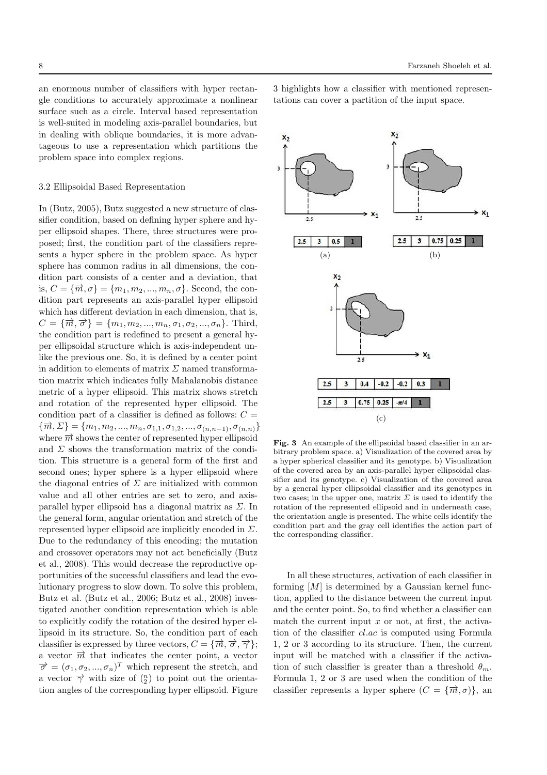an enormous number of classifiers with hyper rectangle conditions to accurately approximate a nonlinear surface such as a circle. Interval based representation is well-suited in modeling axis-parallel boundaries, but in dealing with oblique boundaries, it is more advantageous to use a representation which partitions the problem space into complex regions.

#### 3.2 Ellipsoidal Based Representation

In (Butz, 2005), Butz suggested a new structure of classifier condition, based on defining hyper sphere and hyper ellipsoid shapes. There, three structures were proposed; first, the condition part of the classifiers represents a hyper sphere in the problem space. As hyper sphere has common radius in all dimensions, the condition part consists of a center and a deviation, that is,  $C = {\overrightarrow{m}, \sigma} = {m_1, m_2, ..., m_n, \sigma}$ . Second, the condition part represents an axis-parallel hyper ellipsoid which has different deviation in each dimension, that is,  $C = {\overrightarrow{m}, \overrightarrow{\sigma}} = {m_1, m_2, ..., m_n, \sigma_1, \sigma_2, ..., \sigma_n}.$  Third, the condition part is redefined to present a general hyper ellipsoidal structure which is axis-independent unlike the previous one. So, it is defined by a center point in addition to elements of matrix  $\Sigma$  named transformation matrix which indicates fully Mahalanobis distance metric of a hyper ellipsoid. This matrix shows stretch and rotation of the represented hyper ellipsoid. The condition part of a classifier is defined as follows:  $C =$  ${\{\overrightarrow{m}, \Sigma\}} = {m_1, m_2, ..., m_n, \sigma_{1,1}, \sigma_{1,2}, ..., \sigma_{(n,n-1)}, \sigma_{(n,n)}}$ where  $\vec{m}$  shows the center of represented hyper ellipsoid and  $\Sigma$  shows the transformation matrix of the condition. This structure is a general form of the first and second ones; hyper sphere is a hyper ellipsoid where the diagonal entries of  $\Sigma$  are initialized with common value and all other entries are set to zero, and axisparallel hyper ellipsoid has a diagonal matrix as  $\Sigma$ . In the general form, angular orientation and stretch of the represented hyper ellipsoid are implicitly encoded in  $\Sigma$ . Due to the redundancy of this encoding; the mutation and crossover operators may not act beneficially (Butz et al., 2008). This would decrease the reproductive opportunities of the successful classifiers and lead the evolutionary progress to slow down. To solve this problem, Butz et al. (Butz et al., 2006; Butz et al., 2008) investigated another condition representation which is able to explicitly codify the rotation of the desired hyper ellipsoid in its structure. So, the condition part of each classifier is expressed by three vectors,  $C = {\overrightarrow{m}, \overrightarrow{\sigma}, \overrightarrow{\gamma}}$ ; a vector  $\vec{m}$  that indicates the center point, a vector  $\overrightarrow{\sigma} = (\sigma_1, \sigma_2, ..., \sigma_n)^T$  which represent the stretch, and a vector  $\overrightarrow{\gamma}$  with size of  $\binom{n}{2}$  to point out the orientation angles of the corresponding hyper ellipsoid. Figure

3 highlights how a classifier with mentioned representations can cover a partition of the input space.



Fig. 3 An example of the ellipsoidal based classifier in an arbitrary problem space. a) Visualization of the covered area by a hyper spherical classifier and its genotype. b) Visualization of the covered area by an axis-parallel hyper ellipsoidal classifier and its genotype. c) Visualization of the covered area by a general hyper ellipsoidal classifier and its genotypes in two cases; in the upper one, matrix  $\Sigma$  is used to identify the rotation of the represented ellipsoid and in underneath case, the orientation angle is presented. The white cells identify the condition part and the gray cell identifies the action part of the corresponding classifier.

In all these structures, activation of each classifier in forming  $[M]$  is determined by a Gaussian kernel function, applied to the distance between the current input and the center point. So, to find whether a classifier can match the current input  $x$  or not, at first, the activation of the classifier cl.ac is computed using Formula 1, 2 or 3 according to its structure. Then, the current input will be matched with a classifier if the activation of such classifier is greater than a threshold  $\theta_m$ . Formula 1, 2 or 3 are used when the condition of the classifier represents a hyper sphere  $(C = {\overrightarrow{m}, \sigma} )$ , and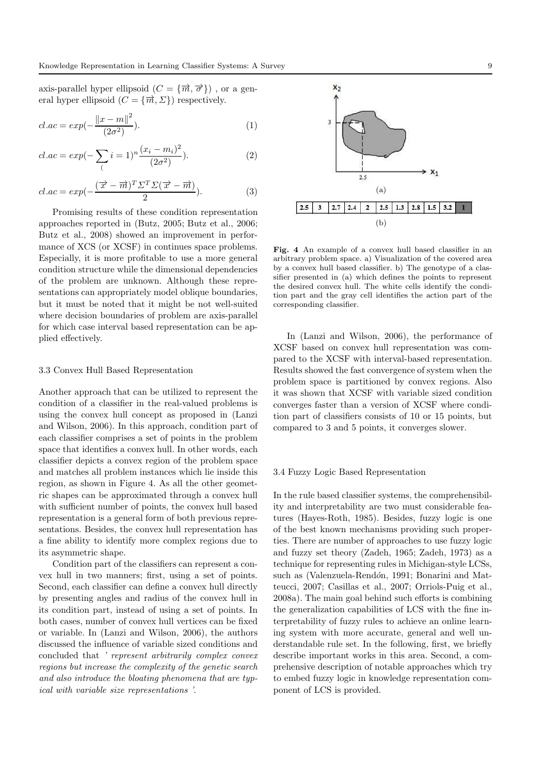axis-parallel hyper ellipsoid  $(C = {\overrightarrow{m}, \overrightarrow{\sigma}})$ , or a general hyper ellipsoid  $(C = {\overrightarrow{m}, \Sigma} )$  respectively.

$$
cl.ac = exp(-\frac{\|x - m\|^2}{(2\sigma^2)}).
$$
 (1)

$$
cl.ac = exp(-\sum_{i} i = 1)^{n} \frac{(x_i - m_i)^2}{(2\sigma^2)}).
$$
 (2)

$$
cl.ac = exp(-\frac{(\overrightarrow{x} - \overrightarrow{m})^T \Sigma^T \Sigma(\overrightarrow{x} - \overrightarrow{m})}{2}).
$$
\n(3)

Promising results of these condition representation approaches reported in (Butz, 2005; Butz et al., 2006; Butz et al., 2008) showed an improvement in performance of XCS (or XCSF) in continues space problems. Especially, it is more profitable to use a more general condition structure while the dimensional dependencies of the problem are unknown. Although these representations can appropriately model oblique boundaries, but it must be noted that it might be not well-suited where decision boundaries of problem are axis-parallel for which case interval based representation can be applied effectively.

#### 3.3 Convex Hull Based Representation

Another approach that can be utilized to represent the condition of a classifier in the real-valued problems is using the convex hull concept as proposed in (Lanzi and Wilson, 2006). In this approach, condition part of each classifier comprises a set of points in the problem space that identifies a convex hull. In other words, each classifier depicts a convex region of the problem space and matches all problem instances which lie inside this region, as shown in Figure 4. As all the other geometric shapes can be approximated through a convex hull with sufficient number of points, the convex hull based representation is a general form of both previous representations. Besides, the convex hull representation has a fine ability to identify more complex regions due to its asymmetric shape.

Condition part of the classifiers can represent a convex hull in two manners; first, using a set of points. Second, each classifier can define a convex hull directly by presenting angles and radius of the convex hull in its condition part, instead of using a set of points. In both cases, number of convex hull vertices can be fixed or variable. In (Lanzi and Wilson, 2006), the authors discussed the influence of variable sized conditions and concluded that ' represent arbitrarily complex convex regions but increase the complexity of the genetic search and also introduce the bloating phenomena that are typical with variable size representations '.



Fig. 4 An example of a convex hull based classifier in an arbitrary problem space. a) Visualization of the covered area by a convex hull based classifier. b) The genotype of a classifier presented in (a) which defines the points to represent the desired convex hull. The white cells identify the condition part and the gray cell identifies the action part of the corresponding classifier.

In (Lanzi and Wilson, 2006), the performance of XCSF based on convex hull representation was compared to the XCSF with interval-based representation. Results showed the fast convergence of system when the problem space is partitioned by convex regions. Also it was shown that XCSF with variable sized condition converges faster than a version of XCSF where condition part of classifiers consists of 10 or 15 points, but compared to 3 and 5 points, it converges slower.

#### 3.4 Fuzzy Logic Based Representation

In the rule based classifier systems, the comprehensibility and interpretability are two must considerable features (Hayes-Roth, 1985). Besides, fuzzy logic is one of the best known mechanisms providing such properties. There are number of approaches to use fuzzy logic and fuzzy set theory (Zadeh, 1965; Zadeh, 1973) as a technique for representing rules in Michigan-style LCSs, such as (Valenzuela-Rendón, 1991; Bonarini and Matteucci, 2007; Casillas et al., 2007; Orriols-Puig et al., 2008a). The main goal behind such efforts is combining the generalization capabilities of LCS with the fine interpretability of fuzzy rules to achieve an online learning system with more accurate, general and well understandable rule set. In the following, first, we briefly describe important works in this area. Second, a comprehensive description of notable approaches which try to embed fuzzy logic in knowledge representation component of LCS is provided.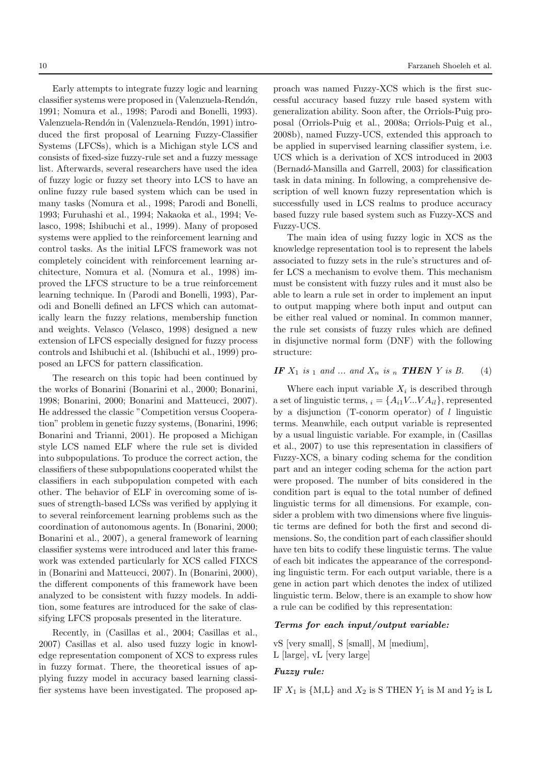Early attempts to integrate fuzzy logic and learning classifier systems were proposed in (Valenzuela-Rendón, 1991; Nomura et al., 1998; Parodi and Bonelli, 1993). Valenzuela-Rendón in (Valenzuela-Rendón, 1991) introduced the first proposal of Learning Fuzzy-Classifier Systems (LFCSs), which is a Michigan style LCS and consists of fixed-size fuzzy-rule set and a fuzzy message list. Afterwards, several researchers have used the idea of fuzzy logic or fuzzy set theory into LCS to have an online fuzzy rule based system which can be used in many tasks (Nomura et al., 1998; Parodi and Bonelli, 1993; Furuhashi et al., 1994; Nakaoka et al., 1994; Velasco, 1998; Ishibuchi et al., 1999). Many of proposed systems were applied to the reinforcement learning and control tasks. As the initial LFCS framework was not completely coincident with reinforcement learning architecture, Nomura et al. (Nomura et al., 1998) improved the LFCS structure to be a true reinforcement learning technique. In (Parodi and Bonelli, 1993), Parodi and Bonelli defined an LFCS which can automatically learn the fuzzy relations, membership function and weights. Velasco (Velasco, 1998) designed a new extension of LFCS especially designed for fuzzy process controls and Ishibuchi et al. (Ishibuchi et al., 1999) proposed an LFCS for pattern classification.

The research on this topic had been continued by the works of Bonarini (Bonarini et al., 2000; Bonarini, 1998; Bonarini, 2000; Bonarini and Matteucci, 2007). He addressed the classic "Competition versus Cooperation" problem in genetic fuzzy systems, (Bonarini, 1996; Bonarini and Trianni, 2001). He proposed a Michigan style LCS named ELF where the rule set is divided into subpopulations. To produce the correct action, the classifiers of these subpopulations cooperated whilst the classifiers in each subpopulation competed with each other. The behavior of ELF in overcoming some of issues of strength-based LCSs was verified by applying it to several reinforcement learning problems such as the coordination of autonomous agents. In (Bonarini, 2000; Bonarini et al., 2007), a general framework of learning classifier systems were introduced and later this framework was extended particularly for XCS called FIXCS in (Bonarini and Matteucci, 2007). In (Bonarini, 2000), the different components of this framework have been analyzed to be consistent with fuzzy models. In addition, some features are introduced for the sake of classifying LFCS proposals presented in the literature.

Recently, in (Casillas et al., 2004; Casillas et al., 2007) Casillas et al. also used fuzzy logic in knowledge representation component of XCS to express rules in fuzzy format. There, the theoretical issues of applying fuzzy model in accuracy based learning classifier systems have been investigated. The proposed approach was named Fuzzy-XCS which is the first successful accuracy based fuzzy rule based system with generalization ability. Soon after, the Orriols-Puig proposal (Orriols-Puig et al., 2008a; Orriols-Puig et al., 2008b), named Fuzzy-UCS, extended this approach to be applied in supervised learning classifier system, i.e. UCS which is a derivation of XCS introduced in 2003 (Bernadó-Mansilla and Garrell, 2003) for classification task in data mining. In following, a comprehensive description of well known fuzzy representation which is successfully used in LCS realms to produce accuracy based fuzzy rule based system such as Fuzzy-XCS and Fuzzy-UCS.

The main idea of using fuzzy logic in XCS as the knowledge representation tool is to represent the labels associated to fuzzy sets in the rule's structures and offer LCS a mechanism to evolve them. This mechanism must be consistent with fuzzy rules and it must also be able to learn a rule set in order to implement an input to output mapping where both input and output can be either real valued or nominal. In common manner, the rule set consists of fuzzy rules which are defined in disjunctive normal form (DNF) with the following structure:

## IF  $X_1$  is  $_1$  and  $...$  and  $X_n$  is  $_n$  THEN Y is B. (4)

Where each input variable  $X_i$  is described through a set of linguistic terms,  $_i = \{A_{i1}V...VA_{il}\},$  represented by a disjunction (T-conorm operator) of  $l$  linguistic terms. Meanwhile, each output variable is represented by a usual linguistic variable. For example, in (Casillas et al., 2007) to use this representation in classifiers of Fuzzy-XCS, a binary coding schema for the condition part and an integer coding schema for the action part were proposed. The number of bits considered in the condition part is equal to the total number of defined linguistic terms for all dimensions. For example, consider a problem with two dimensions where five linguistic terms are defined for both the first and second dimensions. So, the condition part of each classifier should have ten bits to codify these linguistic terms. The value of each bit indicates the appearance of the corresponding linguistic term. For each output variable, there is a gene in action part which denotes the index of utilized linguistic term. Below, there is an example to show how a rule can be codified by this representation:

#### Terms for each input/output variable:

vS [very small], S [small], M [medium], L [large], vL [very large]

## Fuzzy rule:

IF  $X_1$  is  $\{M,L\}$  and  $X_2$  is S THEN  $Y_1$  is M and  $Y_2$  is L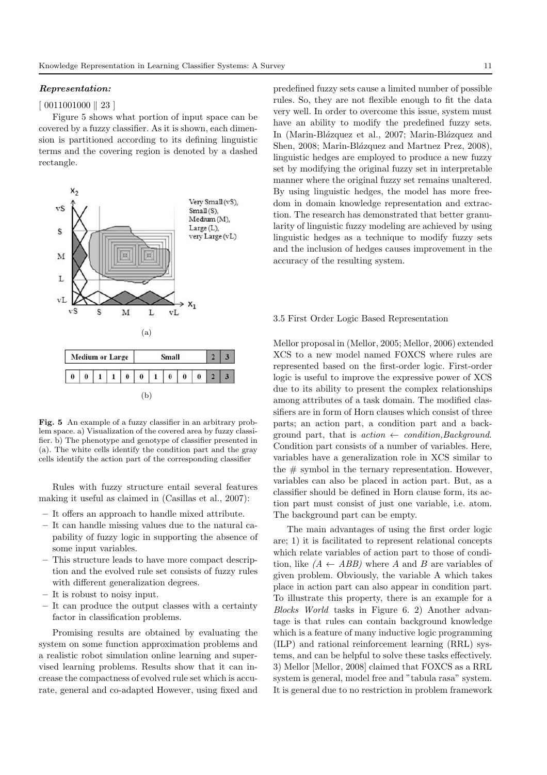## Representation:

#### $[ 0011001000 || 23 ]$

Figure 5 shows what portion of input space can be covered by a fuzzy classifier. As it is shown, each dimension is partitioned according to its defining linguistic terms and the covering region is denoted by a dashed rectangle.



Fig. 5 An example of a fuzzy classifier in an arbitrary problem space. a) Visualization of the covered area by fuzzy classifier. b) The phenotype and genotype of classifier presented in (a). The white cells identify the condition part and the gray cells identify the action part of the corresponding classifier

Rules with fuzzy structure entail several features making it useful as claimed in (Casillas et al., 2007):

- It offers an approach to handle mixed attribute.
- It can handle missing values due to the natural capability of fuzzy logic in supporting the absence of some input variables.
- This structure leads to have more compact description and the evolved rule set consists of fuzzy rules with different generalization degrees.
- It is robust to noisy input.
- It can produce the output classes with a certainty factor in classification problems.

Promising results are obtained by evaluating the system on some function approximation problems and a realistic robot simulation online learning and supervised learning problems. Results show that it can increase the compactness of evolved rule set which is accurate, general and co-adapted However, using fixed and predefined fuzzy sets cause a limited number of possible rules. So, they are not flexible enough to fit the data very well. In order to overcome this issue, system must have an ability to modify the predefined fuzzy sets. In (Marin-Blázquez et al., 2007; Marin-Blázquez and Shen, 2008; Marin-Blázquez and Martnez Prez, 2008), linguistic hedges are employed to produce a new fuzzy set by modifying the original fuzzy set in interpretable manner where the original fuzzy set remains unaltered. By using linguistic hedges, the model has more freedom in domain knowledge representation and extraction. The research has demonstrated that better granularity of linguistic fuzzy modeling are achieved by using linguistic hedges as a technique to modify fuzzy sets and the inclusion of hedges causes improvement in the accuracy of the resulting system.

### 3.5 First Order Logic Based Representation

Mellor proposal in (Mellor, 2005; Mellor, 2006) extended XCS to a new model named FOXCS where rules are represented based on the first-order logic. First-order logic is useful to improve the expressive power of XCS due to its ability to present the complex relationships among attributes of a task domain. The modified classifiers are in form of Horn clauses which consist of three parts; an action part, a condition part and a background part, that is  $action \leftarrow condition, Background$ . Condition part consists of a number of variables. Here, variables have a generalization role in XCS similar to the  $\#$  symbol in the ternary representation. However, variables can also be placed in action part. But, as a classifier should be defined in Horn clause form, its action part must consist of just one variable, i.e. atom. The background part can be empty.

The main advantages of using the first order logic are; 1) it is facilitated to represent relational concepts which relate variables of action part to those of condition, like  $(A \leftarrow ABB)$  where A and B are variables of given problem. Obviously, the variable A which takes place in action part can also appear in condition part. To illustrate this property, there is an example for a Blocks World tasks in Figure 6. 2) Another advantage is that rules can contain background knowledge which is a feature of many inductive logic programming (ILP) and rational reinforcement learning (RRL) systems, and can be helpful to solve these tasks effectively. 3) Mellor [Mellor, 2008] claimed that FOXCS as a RRL system is general, model free and "tabula rasa" system. It is general due to no restriction in problem framework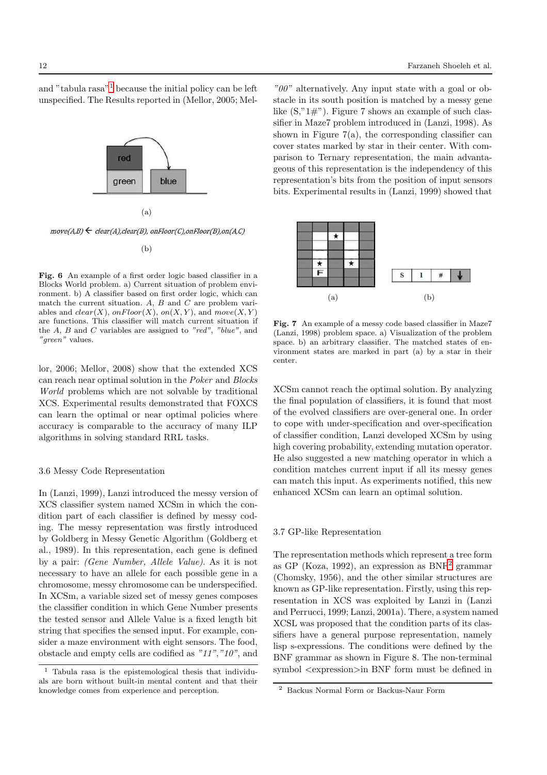and "tabula rasa"[1](#page-11-0) because the initial policy can be left unspecified. The Results reported in (Mellor, 2005; Mel-



(a)

 $move(A,B) \leftarrow clear(A), clear(B), on Floor(C), on Floor(B), on(A,C)$ 

(b)

Fig. 6 An example of a first order logic based classifier in a Blocks World problem. a) Current situation of problem environment. b) A classifier based on first order logic, which can match the current situation. A,  $B$  and  $C$  are problem variables and  $clear(X)$ , on  $Floor(X)$ , on  $(X, Y)$ , and move $(X, Y)$ are functions. This classifier will match current situation if the  $A, B$  and  $C$  variables are assigned to "red", "blue", and "green" values.

lor, 2006; Mellor, 2008) show that the extended XCS can reach near optimal solution in the Poker and Blocks World problems which are not solvable by traditional XCS. Experimental results demonstrated that FOXCS can learn the optimal or near optimal policies where accuracy is comparable to the accuracy of many ILP algorithms in solving standard RRL tasks.

## 3.6 Messy Code Representation

In (Lanzi, 1999), Lanzi introduced the messy version of XCS classifier system named XCSm in which the condition part of each classifier is defined by messy coding. The messy representation was firstly introduced by Goldberg in Messy Genetic Algorithm (Goldberg et al., 1989). In this representation, each gene is defined by a pair: (Gene Number, Allele Value). As it is not necessary to have an allele for each possible gene in a chromosome, messy chromosome can be underspecified. In XCSm, a variable sized set of messy genes composes the classifier condition in which Gene Number presents the tested sensor and Allele Value is a fixed length bit string that specifies the sensed input. For example, consider a maze environment with eight sensors. The food, obstacle and empty cells are codified as "11","10", and

"00" alternatively. Any input state with a goal or obstacle in its south position is matched by a messy gene like  $(S, "1#")$ . Figure 7 shows an example of such classifier in Maze7 problem introduced in (Lanzi, 1998). As shown in Figure  $7(a)$ , the corresponding classifier can cover states marked by star in their center. With comparison to Ternary representation, the main advantageous of this representation is the independency of this representation's bits from the position of input sensors bits. Experimental results in (Lanzi, 1999) showed that



Fig. 7 An example of a messy code based classifier in Maze7 (Lanzi, 1998) problem space. a) Visualization of the problem space. b) an arbitrary classifier. The matched states of environment states are marked in part (a) by a star in their center.

XCSm cannot reach the optimal solution. By analyzing the final population of classifiers, it is found that most of the evolved classifiers are over-general one. In order to cope with under-specification and over-specification of classifier condition, Lanzi developed XCSm by using high covering probability, extending mutation operator. He also suggested a new matching operator in which a condition matches current input if all its messy genes can match this input. As experiments notified, this new enhanced XCSm can learn an optimal solution.

## 3.7 GP-like Representation

The representation methods which represent a tree form as GP (Koza, 199[2](#page-11-1)), an expression as  $BNF<sup>2</sup>$  grammar (Chomsky, 1956), and the other similar structures are known as GP-like representation. Firstly, using this representation in XCS was exploited by Lanzi in (Lanzi and Perrucci, 1999; Lanzi, 2001a). There, a system named XCSL was proposed that the condition parts of its classifiers have a general purpose representation, namely lisp s-expressions. The conditions were defined by the BNF grammar as shown in Figure 8. The non-terminal symbol <expression>in BNF form must be defined in

<span id="page-11-0"></span><sup>1</sup> Tabula rasa is the epistemological thesis that individuals are born without built-in mental content and that their knowledge comes from experience and perception.

<span id="page-11-1"></span><sup>2</sup> Backus Normal Form or Backus-Naur Form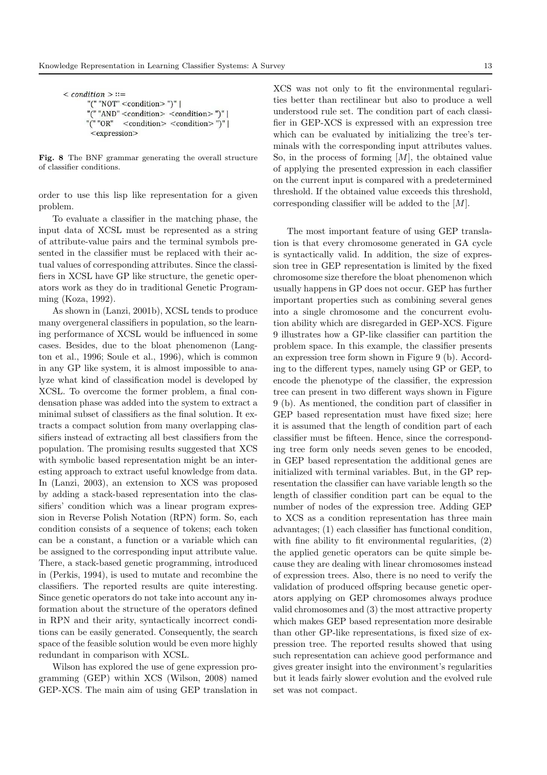```
\leq condition \geq ::=
"(" "NOT" <condition>")" |
   "AND" <condition> <condition> ")" |
"\overline{C}" "OR"
          <condition> <condition> ")" |
 <expression>
```
Fig. 8 The BNF grammar generating the overall structure of classifier conditions.

order to use this lisp like representation for a given problem.

To evaluate a classifier in the matching phase, the input data of XCSL must be represented as a string of attribute-value pairs and the terminal symbols presented in the classifier must be replaced with their actual values of corresponding attributes. Since the classifiers in XCSL have GP like structure, the genetic operators work as they do in traditional Genetic Programming (Koza, 1992).

As shown in (Lanzi, 2001b), XCSL tends to produce many overgeneral classifiers in population, so the learning performance of XCSL would be influenced in some cases. Besides, due to the bloat phenomenon (Langton et al., 1996; Soule et al., 1996), which is common in any GP like system, it is almost impossible to analyze what kind of classification model is developed by XCSL. To overcome the former problem, a final condensation phase was added into the system to extract a minimal subset of classifiers as the final solution. It extracts a compact solution from many overlapping classifiers instead of extracting all best classifiers from the population. The promising results suggested that XCS with symbolic based representation might be an interesting approach to extract useful knowledge from data. In (Lanzi, 2003), an extension to XCS was proposed by adding a stack-based representation into the classifiers' condition which was a linear program expression in Reverse Polish Notation (RPN) form. So, each condition consists of a sequence of tokens; each token can be a constant, a function or a variable which can be assigned to the corresponding input attribute value. There, a stack-based genetic programming, introduced in (Perkis, 1994), is used to mutate and recombine the classifiers. The reported results are quite interesting. Since genetic operators do not take into account any information about the structure of the operators defined in RPN and their arity, syntactically incorrect conditions can be easily generated. Consequently, the search space of the feasible solution would be even more highly redundant in comparison with XCSL.

Wilson has explored the use of gene expression programming (GEP) within XCS (Wilson, 2008) named GEP-XCS. The main aim of using GEP translation in XCS was not only to fit the environmental regularities better than rectilinear but also to produce a well understood rule set. The condition part of each classifier in GEP-XCS is expressed with an expression tree which can be evaluated by initializing the tree's terminals with the corresponding input attributes values. So, in the process of forming  $[M]$ , the obtained value of applying the presented expression in each classifier on the current input is compared with a predetermined threshold. If the obtained value exceeds this threshold, corresponding classifier will be added to the  $[M]$ .

The most important feature of using GEP translation is that every chromosome generated in GA cycle is syntactically valid. In addition, the size of expression tree in GEP representation is limited by the fixed chromosome size therefore the bloat phenomenon which usually happens in GP does not occur. GEP has further important properties such as combining several genes into a single chromosome and the concurrent evolution ability which are disregarded in GEP-XCS. Figure 9 illustrates how a GP-like classifier can partition the problem space. In this example, the classifier presents an expression tree form shown in Figure 9 (b). According to the different types, namely using GP or GEP, to encode the phenotype of the classifier, the expression tree can present in two different ways shown in Figure 9 (b). As mentioned, the condition part of classifier in GEP based representation must have fixed size; here it is assumed that the length of condition part of each classifier must be fifteen. Hence, since the corresponding tree form only needs seven genes to be encoded, in GEP based representation the additional genes are initialized with terminal variables. But, in the GP representation the classifier can have variable length so the length of classifier condition part can be equal to the number of nodes of the expression tree. Adding GEP to XCS as a condition representation has three main advantages; (1) each classifier has functional condition, with fine ability to fit environmental regularities,  $(2)$ the applied genetic operators can be quite simple because they are dealing with linear chromosomes instead of expression trees. Also, there is no need to verify the validation of produced offspring because genetic operators applying on GEP chromosomes always produce valid chromosomes and (3) the most attractive property which makes GEP based representation more desirable than other GP-like representations, is fixed size of expression tree. The reported results showed that using such representation can achieve good performance and gives greater insight into the environment's regularities but it leads fairly slower evolution and the evolved rule set was not compact.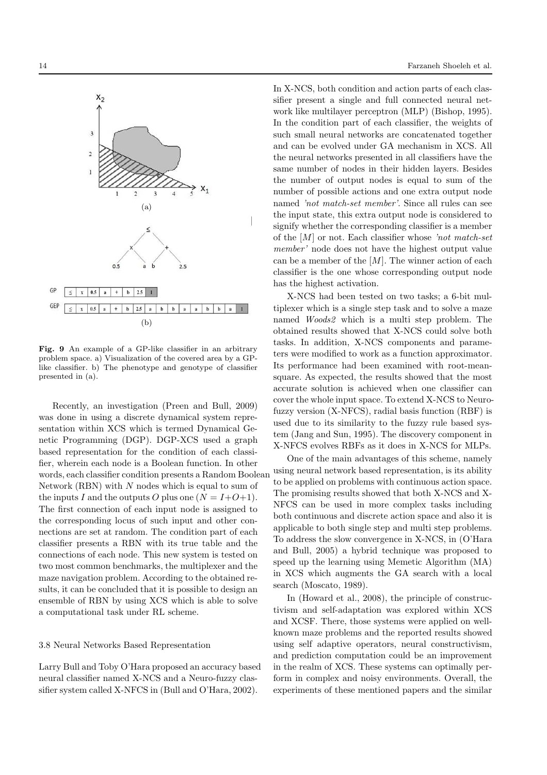

X-NCS had been tested on two tasks; a 6-bit multiplexer which is a single step task and to solve a maze named Woods2 which is a multi step problem. The obtained results showed that X-NCS could solve both tasks. In addition, X-NCS components and parameters were modified to work as a function approximator. Its performance had been examined with root-meansquare. As expected, the results showed that the most accurate solution is achieved when one classifier can cover the whole input space. To extend X-NCS to Neurofuzzy version (X-NFCS), radial basis function (RBF) is used due to its similarity to the fuzzy rule based system (Jang and Sun, 1995). The discovery component in X-NFCS evolves RBFs as it does in X-NCS for MLPs.

One of the main advantages of this scheme, namely using neural network based representation, is its ability to be applied on problems with continuous action space. The promising results showed that both X-NCS and X-NFCS can be used in more complex tasks including both continuous and discrete action space and also it is applicable to both single step and multi step problems. To address the slow convergence in X-NCS, in (O'Hara and Bull, 2005) a hybrid technique was proposed to speed up the learning using Memetic Algorithm (MA) in XCS which augments the GA search with a local search (Moscato, 1989).

In (Howard et al., 2008), the principle of constructivism and self-adaptation was explored within XCS and XCSF. There, those systems were applied on wellknown maze problems and the reported results showed using self adaptive operators, neural constructivism, and prediction computation could be an improvement in the realm of XCS. These systems can optimally perform in complex and noisy environments. Overall, the experiments of these mentioned papers and the similar



Fig. 9 An example of a GP-like classifier in an arbitrary problem space. a) Visualization of the covered area by a GPlike classifier. b) The phenotype and genotype of classifier presented in (a).

Recently, an investigation (Preen and Bull, 2009) was done in using a discrete dynamical system representation within XCS which is termed Dynamical Genetic Programming (DGP). DGP-XCS used a graph based representation for the condition of each classifier, wherein each node is a Boolean function. In other words, each classifier condition presents a Random Boolean Network (RBN) with  $N$  nodes which is equal to sum of the inputs I and the outputs O plus one  $(N = I+O+1)$ . The first connection of each input node is assigned to the corresponding locus of such input and other connections are set at random. The condition part of each classifier presents a RBN with its true table and the connections of each node. This new system is tested on two most common benchmarks, the multiplexer and the maze navigation problem. According to the obtained results, it can be concluded that it is possible to design an ensemble of RBN by using XCS which is able to solve a computational task under RL scheme.

#### 3.8 Neural Networks Based Representation

Larry Bull and Toby O'Hara proposed an accuracy based neural classifier named X-NCS and a Neuro-fuzzy classifier system called X-NFCS in (Bull and O'Hara, 2002).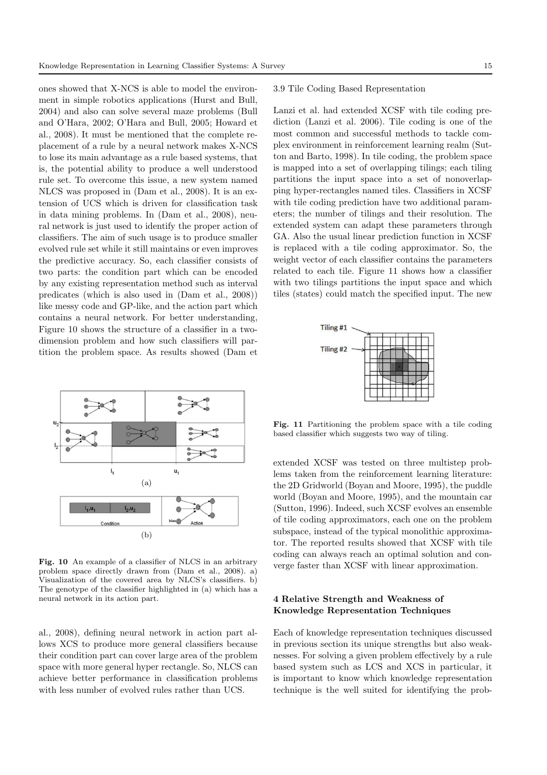ones showed that X-NCS is able to model the environment in simple robotics applications (Hurst and Bull, 2004) and also can solve several maze problems (Bull and O'Hara, 2002; O'Hara and Bull, 2005; Howard et al., 2008). It must be mentioned that the complete replacement of a rule by a neural network makes X-NCS to lose its main advantage as a rule based systems, that is, the potential ability to produce a well understood rule set. To overcome this issue, a new system named NLCS was proposed in (Dam et al., 2008). It is an extension of UCS which is driven for classification task in data mining problems. In (Dam et al., 2008), neural network is just used to identify the proper action of classifiers. The aim of such usage is to produce smaller evolved rule set while it still maintains or even improves the predictive accuracy. So, each classifier consists of two parts: the condition part which can be encoded by any existing representation method such as interval predicates (which is also used in (Dam et al., 2008)) like messy code and GP-like, and the action part which contains a neural network. For better understanding, Figure 10 shows the structure of a classifier in a twodimension problem and how such classifiers will partition the problem space. As results showed (Dam et



Fig. 10 An example of a classifier of NLCS in an arbitrary problem space directly drawn from (Dam et al., 2008). a) Visualization of the covered area by NLCS's classifiers. b) The genotype of the classifier highlighted in (a) which has a neural network in its action part.

al., 2008), defining neural network in action part allows XCS to produce more general classifiers because their condition part can cover large area of the problem space with more general hyper rectangle. So, NLCS can achieve better performance in classification problems with less number of evolved rules rather than UCS.

## 3.9 Tile Coding Based Representation

Lanzi et al. had extended XCSF with tile coding prediction (Lanzi et al. 2006). Tile coding is one of the most common and successful methods to tackle complex environment in reinforcement learning realm (Sutton and Barto, 1998). In tile coding, the problem space is mapped into a set of overlapping tilings; each tiling partitions the input space into a set of nonoverlapping hyper-rectangles named tiles. Classifiers in XCSF with tile coding prediction have two additional parameters; the number of tilings and their resolution. The extended system can adapt these parameters through GA. Also the usual linear prediction function in XCSF is replaced with a tile coding approximator. So, the weight vector of each classifier contains the parameters related to each tile. Figure 11 shows how a classifier with two tilings partitions the input space and which tiles (states) could match the specified input. The new



Fig. 11 Partitioning the problem space with a tile coding based classifier which suggests two way of tiling.

extended XCSF was tested on three multistep problems taken from the reinforcement learning literature: the 2D Gridworld (Boyan and Moore, 1995), the puddle world (Boyan and Moore, 1995), and the mountain car (Sutton, 1996). Indeed, such XCSF evolves an ensemble of tile coding approximators, each one on the problem subspace, instead of the typical monolithic approximator. The reported results showed that XCSF with tile coding can always reach an optimal solution and converge faster than XCSF with linear approximation.

# 4 Relative Strength and Weakness of Knowledge Representation Techniques

Each of knowledge representation techniques discussed in previous section its unique strengths but also weaknesses. For solving a given problem effectively by a rule based system such as LCS and XCS in particular, it is important to know which knowledge representation technique is the well suited for identifying the prob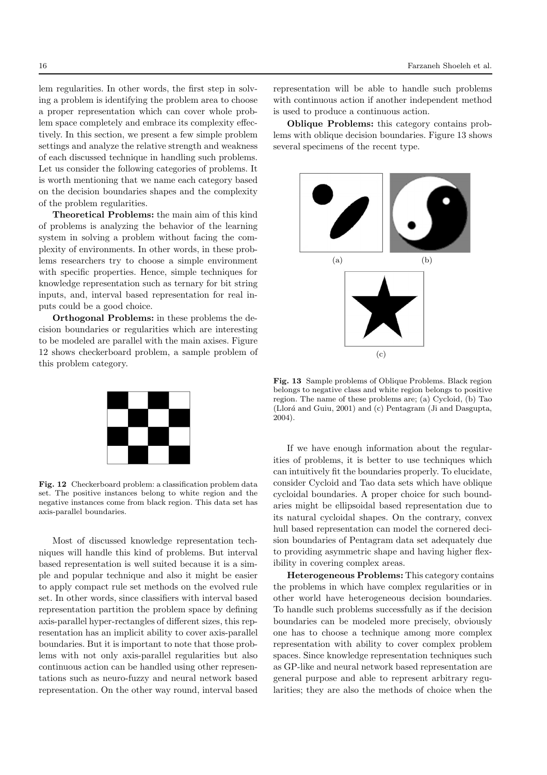lem regularities. In other words, the first step in solving a problem is identifying the problem area to choose a proper representation which can cover whole problem space completely and embrace its complexity effectively. In this section, we present a few simple problem settings and analyze the relative strength and weakness of each discussed technique in handling such problems. Let us consider the following categories of problems. It is worth mentioning that we name each category based on the decision boundaries shapes and the complexity of the problem regularities.

Theoretical Problems: the main aim of this kind of problems is analyzing the behavior of the learning system in solving a problem without facing the complexity of environments. In other words, in these problems researchers try to choose a simple environment with specific properties. Hence, simple techniques for knowledge representation such as ternary for bit string inputs, and, interval based representation for real inputs could be a good choice.

Orthogonal Problems: in these problems the decision boundaries or regularities which are interesting to be modeled are parallel with the main axises. Figure 12 shows checkerboard problem, a sample problem of this problem category.



Fig. 12 Checkerboard problem: a classification problem data set. The positive instances belong to white region and the negative instances come from black region. This data set has axis-parallel boundaries.

Most of discussed knowledge representation techniques will handle this kind of problems. But interval based representation is well suited because it is a simple and popular technique and also it might be easier to apply compact rule set methods on the evolved rule set. In other words, since classifiers with interval based representation partition the problem space by defining axis-parallel hyper-rectangles of different sizes, this representation has an implicit ability to cover axis-parallel boundaries. But it is important to note that those problems with not only axis-parallel regularities but also continuous action can be handled using other representations such as neuro-fuzzy and neural network based representation. On the other way round, interval based representation will be able to handle such problems with continuous action if another independent method is used to produce a continuous action.

Oblique Problems: this category contains problems with oblique decision boundaries. Figure 13 shows several specimens of the recent type.



Fig. 13 Sample problems of Oblique Problems. Black region belongs to negative class and white region belongs to positive region. The name of these problems are; (a) Cycloid, (b) Tao (Llorá and Guiu, 2001) and  $(c)$  Pentagram (Ji and Dasgupta, 2004).

If we have enough information about the regularities of problems, it is better to use techniques which can intuitively fit the boundaries properly. To elucidate, consider Cycloid and Tao data sets which have oblique cycloidal boundaries. A proper choice for such boundaries might be ellipsoidal based representation due to its natural cycloidal shapes. On the contrary, convex hull based representation can model the cornered decision boundaries of Pentagram data set adequately due to providing asymmetric shape and having higher flexibility in covering complex areas.

Heterogeneous Problems: This category contains the problems in which have complex regularities or in other world have heterogeneous decision boundaries. To handle such problems successfully as if the decision boundaries can be modeled more precisely, obviously one has to choose a technique among more complex representation with ability to cover complex problem spaces. Since knowledge representation techniques such as GP-like and neural network based representation are general purpose and able to represent arbitrary regularities; they are also the methods of choice when the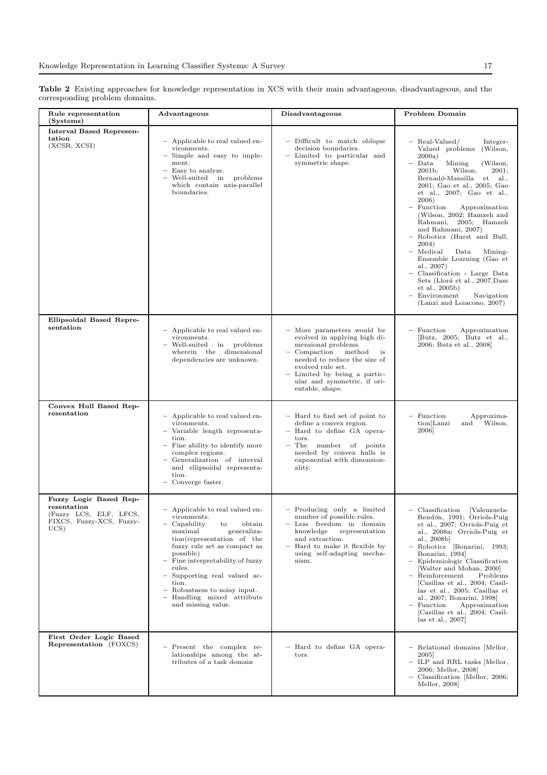Table 2 Existing approaches for knowledge representation in XCS with their main advantageous, disadvantageous, and the corresponding problem domains.

| Rule representation<br>(Systems)                                                                    | Advantageous                                                                                                                                                                                                                                                                                                                                                                     | <b>Disadvantageous</b>                                                                                                                                                                                                                               | Problem Domain                                                                                                                                                                                                                                                                                                                                                                                                                                                                                                                                                                                                           |
|-----------------------------------------------------------------------------------------------------|----------------------------------------------------------------------------------------------------------------------------------------------------------------------------------------------------------------------------------------------------------------------------------------------------------------------------------------------------------------------------------|------------------------------------------------------------------------------------------------------------------------------------------------------------------------------------------------------------------------------------------------------|--------------------------------------------------------------------------------------------------------------------------------------------------------------------------------------------------------------------------------------------------------------------------------------------------------------------------------------------------------------------------------------------------------------------------------------------------------------------------------------------------------------------------------------------------------------------------------------------------------------------------|
| <b>Interval Based Represen-</b><br>tation<br>(XCSR, XCSI)                                           | - Applicable to real valued en-<br>vironments.<br>Simple and easy to imple-<br>$\qquad \qquad -$<br>ment.<br>Easy to analyze.<br>Well-suited in<br>problems<br>which contain axis-parallel<br>boundaries.                                                                                                                                                                        | - Difficult to match oblique<br>decision boundaries.<br>- Limited to particular and<br>symmetric shape.                                                                                                                                              | - Real-Valued/<br>Integer-<br>Valued problems<br>(Wilson,<br>2000a)<br>Data<br>Mining<br>(Wilson,<br>Wilson,<br>2001;<br>2001b;<br>$Bernadó-Mansilla$<br>et<br>al.,<br>2001; Gao et al., 2005; Gao<br>et al., 2007; Gao et al.,<br>2006)<br>Function<br>Approximation<br>(Wilson, 2002; Hamzeh and<br>Rahmani,<br>2005;<br>Hamzeh<br>and Rahmani, 2007)<br>Robotics (Hurst and Bull,<br>2004)<br>- Medical<br>Data<br>Mining-<br>Ensemble Learning (Gao et<br>al., $2007$ )<br>Classification - Large Data<br>Sets (Llorá et al., 2007, Dam<br>et al., 2005b)<br>Environment<br>Navigation<br>(Lanzi and Loiacono, 2007) |
| Ellipsoidal Based Repre-<br>sentation                                                               | - Applicable to real valued en-<br>vironments.<br>Well-suited<br>in problems<br>wherein the dimensional<br>dependencies are unknown.                                                                                                                                                                                                                                             | - More parameters would be<br>evolved in applying high di-<br>mensional problems.<br>Compaction<br>method<br>is<br>needed to reduce the size of<br>evolved rule set.<br>Limited by being a partic-<br>ular and symmetric, if ori-<br>entable, shape. | - Function<br>Approximation<br>[Butz, 2005; Butz et al.,<br>2006; Butz et al., 2008]                                                                                                                                                                                                                                                                                                                                                                                                                                                                                                                                     |
| Convex Hull Based Rep-<br>resentation                                                               | - Applicable to real valued en-<br>vironments.<br>Variable length representa-<br>tion.<br>Fine ability to identify more<br>complex regions.<br>Generalization of interval<br>and ellipsoidal representa-<br>tion.<br>Converge faster.                                                                                                                                            | - Hard to find set of point to<br>define a convex region.<br>- Hard to define GA opera-<br>tors.<br>The number of points<br>needed by convex hulls is<br>exponential with dimension-<br>ality.                                                       | - Function<br>Approxima-<br>Wilson,<br>tion[Lanzi<br>and<br>2006]                                                                                                                                                                                                                                                                                                                                                                                                                                                                                                                                                        |
| Fuzzy Logic Based Rep-<br>resentation<br>(Fuzzy LCS, ELF, LFCS,<br>FIXCS, Fuzzy-XCS, Fuzzy-<br>UCS) | - Applicable to real valued en-<br>vironments.<br>Capability<br>obtain<br>to<br>maximal<br>generaliza-<br>tion(representation of the<br>fuzzy rule set as compact as<br>possible)<br>Fine interpretability of fuzzy<br>rules.<br>Supporting real valued ac-<br>-<br>tion.<br>- Robustness to noisy input.<br>Handling mixed attribute<br>$\qquad \qquad -$<br>and missing value. | - Producing only a limited<br>number of possible rules.<br>- Less freedom in domain<br>knowledge<br>representation<br>and extraction.<br>Hard to make it flexible by<br>using self-adapting mecha-<br>nism.                                          | $-$ Classification<br>[Valenzuela-<br>Rendón, 1991; Orriols-Puig<br>et al., 2007; Orriols-Puig et<br>al., 2008a; Orriols-Puig et<br>al., 2008b]<br>Robotics [Bonarini, 1993;<br>Bonarini, 1994]<br>Epidemiologic Classification<br>[Walter and Mohan, 2000]<br>- Reinforcement<br>Problems<br>[Casillas et al., 2004; Casil-<br>las et al., 2005; Casillas et<br>al., 2007; Bonarini, 1998]<br>Function<br>Approximation<br>[Casillas et al., 2004; Casil-<br>las et al., $2007$                                                                                                                                         |
| First Order Logic Based<br><b>Representation</b> (FOXCS)                                            | - Present the complex re-<br>lationships among the at-<br>tributes of a task domain                                                                                                                                                                                                                                                                                              | - Hard to define GA opera-<br>tors.                                                                                                                                                                                                                  | - Relational domains [Mellor,<br>2005]<br>- ILP and RRL tasks [Mellor,<br>2006; Mellor, 2008]<br>Classification [Mellor, 2006;<br>Mellor, 2008                                                                                                                                                                                                                                                                                                                                                                                                                                                                           |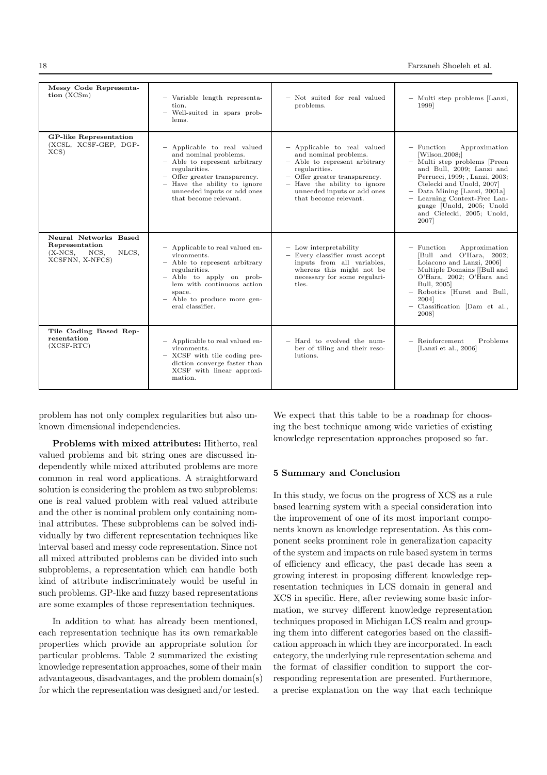| Messy Code Representa-<br>tion (XCSm)                                                          | - Variable length representa-<br>tion.<br>- Well-suited in spars prob-<br>lems.                                                                                                                                                 | - Not suited for real valued<br>problems.                                                                                                                                                                                       | - Multi step problems [Lanzi,<br>1999]                                                                                                                                                                                                                                                                          |
|------------------------------------------------------------------------------------------------|---------------------------------------------------------------------------------------------------------------------------------------------------------------------------------------------------------------------------------|---------------------------------------------------------------------------------------------------------------------------------------------------------------------------------------------------------------------------------|-----------------------------------------------------------------------------------------------------------------------------------------------------------------------------------------------------------------------------------------------------------------------------------------------------------------|
| <b>GP-like Representation</b><br>(XCSL, XCSF-GEP, DGP-<br>$XCS$ )                              | - Applicable to real valued<br>and nominal problems.<br>- Able to represent arbitrary<br>regularities.<br>- Offer greater transparency.<br>- Have the ability to ignore<br>unneeded inputs or add ones<br>that become relevant. | - Applicable to real valued<br>and nominal problems.<br>- Able to represent arbitrary<br>regularities.<br>- Offer greater transparency.<br>- Have the ability to ignore<br>unneeded inputs or add ones<br>that become relevant. | $-$ Function<br>Approximation<br>[Wilson, 2008]<br>- Multi step problems [Preen<br>and Bull, 2009; Lanzi and<br>Perrucci, 1999; , Lanzi, 2003;<br>Cielecki and Unold, 2007]<br>- Data Mining [Lanzi, 2001a]<br>- Learning Context-Free Lan-<br>guage [Unold, 2005; Unold<br>and Cielecki, 2005; Unold,<br>2007] |
| Neural Networks Based<br>Representation<br>$(X-{\rm NCS},$<br>NCS,<br>NLCS,<br>XCSFNN, X-NFCS) | - Applicable to real valued en-<br>vironments.<br>- Able to represent arbitrary<br>regularities.<br>- Able to apply on prob-<br>lem with continuous action<br>space.<br>- Able to produce more gen-<br>eral classifier.         | $-$ Low interpretability<br>$-$ Every classifier must accept<br>inputs from all variables,<br>whereas this might not be<br>necessary for some regulari-<br>ties.                                                                | $-$ Function<br>Approximation<br>[Bull and O'Hara, 2002;<br>Loiacono and Lanzi, 2006]<br>- Multiple Domains [[Bull and<br>O'Hara, 2002; O'Hara and<br>Bull, 2005]<br>- Robotics Hurst and Bull,<br>2004]<br>- Classification [Dam et al.,<br>2008]                                                              |
| Tile Coding Based Rep-<br>resentation<br>$(XCSF-RTC)$                                          | - Applicable to real valued en-<br>vironments.<br>- XCSF with tile coding pre-<br>diction converge faster than<br>XCSF with linear approxi-<br>mation.                                                                          | - Hard to evolved the num-<br>ber of tiling and their reso-<br>lutions.                                                                                                                                                         | $-$ Reinforcement<br>Problems<br>[Lanzi et al., 2006]                                                                                                                                                                                                                                                           |

problem has not only complex regularities but also unknown dimensional independencies.

Problems with mixed attributes: Hitherto, real valued problems and bit string ones are discussed independently while mixed attributed problems are more common in real word applications. A straightforward solution is considering the problem as two subproblems: one is real valued problem with real valued attribute and the other is nominal problem only containing nominal attributes. These subproblems can be solved individually by two different representation techniques like interval based and messy code representation. Since not all mixed attributed problems can be divided into such subproblems, a representation which can handle both kind of attribute indiscriminately would be useful in such problems. GP-like and fuzzy based representations are some examples of those representation techniques.

In addition to what has already been mentioned, each representation technique has its own remarkable properties which provide an appropriate solution for particular problems. Table 2 summarized the existing knowledge representation approaches, some of their main advantageous, disadvantages, and the problem domain(s) for which the representation was designed and/or tested.

We expect that this table to be a roadmap for choosing the best technique among wide varieties of existing knowledge representation approaches proposed so far.

## 5 Summary and Conclusion

In this study, we focus on the progress of XCS as a rule based learning system with a special consideration into the improvement of one of its most important components known as knowledge representation. As this component seeks prominent role in generalization capacity of the system and impacts on rule based system in terms of efficiency and efficacy, the past decade has seen a growing interest in proposing different knowledge representation techniques in LCS domain in general and XCS in specific. Here, after reviewing some basic information, we survey different knowledge representation techniques proposed in Michigan LCS realm and grouping them into different categories based on the classification approach in which they are incorporated. In each category, the underlying rule representation schema and the format of classifier condition to support the corresponding representation are presented. Furthermore, a precise explanation on the way that each technique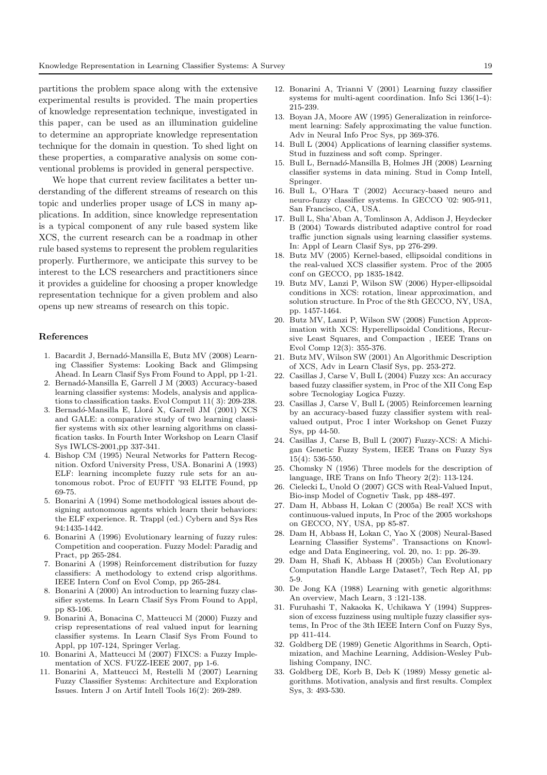partitions the problem space along with the extensive experimental results is provided. The main properties of knowledge representation technique, investigated in this paper, can be used as an illumination guideline to determine an appropriate knowledge representation technique for the domain in question. To shed light on these properties, a comparative analysis on some conventional problems is provided in general perspective.

We hope that current review facilitates a better understanding of the different streams of research on this topic and underlies proper usage of LCS in many applications. In addition, since knowledge representation is a typical component of any rule based system like XCS, the current research can be a roadmap in other rule based systems to represent the problem regularities properly. Furthermore, we anticipate this survey to be interest to the LCS researchers and practitioners since it provides a guideline for choosing a proper knowledge representation technique for a given problem and also opens up new streams of research on this topic.

#### References

- 1. Bacardit J, Bernadó-Mansilla E, Butz MV (2008) Learning Classifier Systems: Looking Back and Glimpsing Ahead. In Learn Clasif Sys From Found to Appl, pp 1-21.
- 2. Bernadó-Mansilla E, Garrell J M (2003) Accuracy-based learning classifier systems: Models, analysis and applications to classification tasks. Evol Comput 11( 3): 209-238.
- 3. Bernadó-Mansilla E, Llorá X, Garrell JM  $(2001)$  XCS and GALE: a comparative study of two learning classifier systems with six other learning algorithms on classification tasks. In Fourth Inter Workshop on Learn Clasif Sys IWLCS-2001,pp 337-341.
- 4. Bishop CM (1995) Neural Networks for Pattern Recognition. Oxford University Press, USA. Bonarini A (1993) ELF: learning incomplete fuzzy rule sets for an autonomous robot. Proc of EUFIT '93 ELITE Found, pp 69-75.
- 5. Bonarini A (1994) Some methodological issues about designing autonomous agents which learn their behaviors: the ELF experience. R. Trappl (ed.) Cybern and Sys Res 94:1435-1442.
- 6. Bonarini A (1996) Evolutionary learning of fuzzy rules: Competition and cooperation. Fuzzy Model: Paradig and Pract, pp 265-284.
- 7. Bonarini A (1998) Reinforcement distribution for fuzzy classifiers: A methodology to extend crisp algorithms. IEEE Intern Conf on Evol Comp, pp 265-284.
- 8. Bonarini A (2000) An introduction to learning fuzzy classifier systems. In Learn Clasif Sys From Found to Appl, pp 83-106.
- 9. Bonarini A, Bonacina C, Matteucci M (2000) Fuzzy and crisp representations of real valued input for learning classifier systems. In Learn Clasif Sys From Found to Appl, pp 107-124, Springer Verlag.
- 10. Bonarini A, Matteucci M (2007) FIXCS: a Fuzzy Implementation of XCS. FUZZ-IEEE 2007, pp 1-6.
- 11. Bonarini A, Matteucci M, Restelli M (2007) Learning Fuzzy Classifier Systems: Architecture and Exploration Issues. Intern J on Artif Intell Tools 16(2): 269-289.
- 12. Bonarini A, Trianni V (2001) Learning fuzzy classifier systems for multi-agent coordination. Info Sci 136(1-4): 215-239.
- 13. Boyan JA, Moore AW (1995) Generalization in reinforcement learning: Safely approximating the value function. Adv in Neural Info Proc Sys, pp 369-376.
- 14. Bull L (2004) Applications of learning classifier systems. Stud in fuzziness and soft comp. Springer.
- 15. Bull L, Bernadó-Mansilla B, Holmes JH (2008) Learning classifier systems in data mining. Stud in Comp Intell, Springer.
- 16. Bull L, O'Hara T (2002) Accuracy-based neuro and neuro-fuzzy classifier systems. In GECCO '02: 905-911, San Francisco, CA, USA.
- 17. Bull L, Sha'Aban A, Tomlinson A, Addison J, Heydecker B (2004) Towards distributed adaptive control for road traffic junction signals using learning classifier systems. In: Appl of Learn Clasif Sys, pp 276-299.
- 18. Butz MV (2005) Kernel-based, ellipsoidal conditions in the real-valued XCS classifier system. Proc of the 2005 conf on GECCO, pp 1835-1842.
- 19. Butz MV, Lanzi P, Wilson SW (2006) Hyper-ellipsoidal conditions in XCS: rotation, linear approximation, and solution structure. In Proc of the 8th GECCO, NY, USA, pp. 1457-1464.
- 20. Butz MV, Lanzi P, Wilson SW (2008) Function Approximation with XCS: Hyperellipsoidal Conditions, Recursive Least Squares, and Compaction , IEEE Trans on Evol Comp 12(3): 355-376.
- 21. Butz MV, Wilson SW (2001) An Algorithmic Description of XCS, Adv in Learn Clasif Sys, pp. 253-272.
- 22. Casillas J, Carse V, Bull L (2004) Fuzzy xcs: An accuracy based fuzzy classifier system, in Proc of the XII Cong Esp sobre Tecnologiay Logica Fuzzy.
- 23. Casillas J, Carse V, Bull L (2005) Reinforcemen learning by an accuracy-based fuzzy classifier system with realvalued output, Proc I inter Workshop on Genet Fuzzy Sys, pp 44-50.
- 24. Casillas J, Carse B, Bull L (2007) Fuzzy-XCS: A Michigan Genetic Fuzzy System, IEEE Trans on Fuzzy Sys 15(4): 536-550.
- 25. Chomsky N (1956) Three models for the description of language, IRE Trans on Info Theory 2(2): 113-124.
- 26. Cielecki L, Unold O (2007) GCS with Real-Valued Input, Bio-insp Model of Cognetiv Task, pp 488-497.
- 27. Dam H, Abbass H, Lokan C (2005a) Be real! XCS with continuous-valued inputs, In Proc of the 2005 workshops on GECCO, NY, USA, pp 85-87.
- 28. Dam H, Abbass H, Lokan C, Yao X (2008) Neural-Based Learning Classifier Systems". Transactions on Knowledge and Data Engineering, vol. 20, no. 1: pp. 26-39.
- 29. Dam H, Shafi K, Abbass H (2005b) Can Evolutionary Computation Handle Large Dataset?, Tech Rep AI, pp 5-9.
- 30. De Jong KA (1988) Learning with genetic algorithms: An overview, Mach Learn, 3 :121-138.
- 31. Furuhashi T, Nakaoka K, Uchikawa Y (1994) Suppression of excess fuzziness using multiple fuzzy classifier systems, In Proc of the 3th IEEE Intern Conf on Fuzzy Sys, pp 411-414.
- 32. Goldberg DE (1989) Genetic Algorithms in Search, Optimization, and Machine Learning, Addision-Wesley Publishing Company, INC.
- 33. Goldberg DE, Korb B, Deb K (1989) Messy genetic algorithms. Motivation, analysis and first results. Complex Sys, 3: 493-530.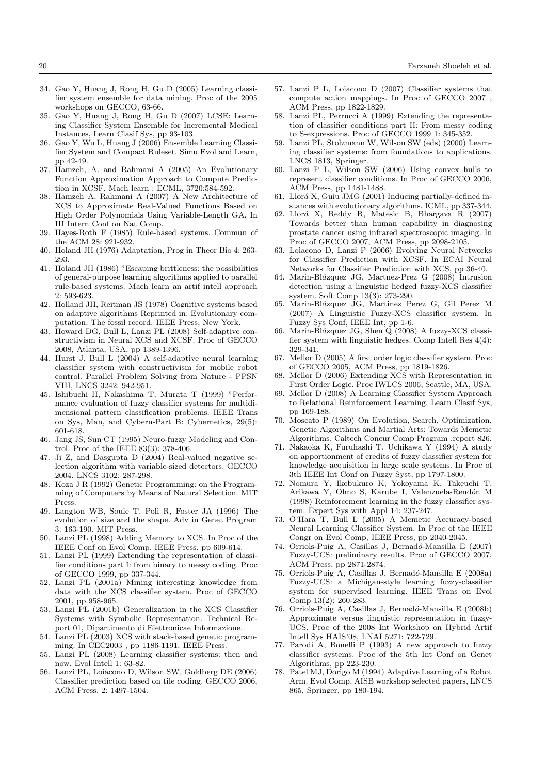- 34. Gao Y, Huang J, Rong H, Gu D (2005) Learning classifier system ensemble for data mining. Proc of the 2005 workshops on GECCO, 63-66.
- 35. Gao Y, Huang J, Rong H, Gu D (2007) LCSE: Learning Classifier System Ensemble for Incremental Medical Instances, Learn Clasif Sys, pp 93-103.
- 36. Gao Y, Wu L, Huang J (2006) Ensemble Learning Classifier System and Compact Ruleset, Simu Evol and Learn, pp 42-49.
- 37. Hamzeh, A. and Rahmani A (2005) An Evolutionary Function Approximation Approach to Compute Prediction in XCSF. Mach learn : ECML, 3720:584-592.
- 38. Hamzeh A, Rahmani A (2007) A New Architecture of XCS to Approximate Real-Valued Functions Based on High Order Polynomials Using Variable-Length GA, In III Intern Conf on Nat Comp.
- 39. Hayes-Roth F (1985) Rule-based systems. Commun of the ACM 28: 921-932.
- 40. Holand JH (1976) Adaptation, Prog in Theor Bio 4: 263- 293.
- 41. Holand JH (1986) "Escaping brittleness: the possibilities of general-purpose learning algorithms applied to parallel rule-based systems. Mach learn an artif intell approach 2: 593-623.
- 42. Holland JH, Reitman JS (1978) Cognitive systems based on adaptive algorithms Reprinted in: Evolutionary computation. The fossil record. IEEE Press, New York.
- 43. Howard DG, Bull L, Lanzi PL (2008) Self-adaptive constructivism in Neural XCS and XCSF. Proc of GECCO 2008, Atlanta, USA, pp 1389-1396.
- 44. Hurst J, Bull L (2004) A self-adaptive neural learning classifier system with constructivism for mobile robot control. Parallel Problem Solving from Nature - PPSN VIII, LNCS 3242: 942-951.
- 45. Ishibuchi H, Nakashima T, Murata T (1999) "Performance evaluation of fuzzy classifier systems for multidimensional pattern classification problems. IEEE Trans on Sys, Man, and Cybern-Part B: Cybernetics, 29(5): 601-618.
- 46. Jang JS, Sun CT (1995) Neuro-fuzzy Modeling and Control. Proc of the IEEE 83(3): 378-406.
- 47. Ji Z, and Dasgupta D (2004) Real-valued negative selection algorithm with variable-sized detectors. GECCO 2004. LNCS 3102: 287-298.
- 48. Koza J R (1992) Genetic Programming: on the Programming of Computers by Means of Natural Selection. MIT Press.
- 49. Langton WB, Soule T, Poli R, Foster JA (1996) The evolution of size and the shape. Adv in Genet Program 3: 163-190. MIT Press.
- 50. Lanzi PL (1998) Adding Memory to XCS. In Proc of the IEEE Conf on Evol Comp, IEEE Press, pp 609-614.
- 51. Lanzi PL (1999) Extending the representation of classifier conditions part I: from binary to messy coding. Proc of GECCO 1999, pp 337-344.
- 52. Lanzi PL (2001a) Mining interesting knowledge from data with the XCS classifier system. Proc of GECCO 2001, pp 958-965.
- 53. Lanzi PL (2001b) Generalization in the XCS Classifier Systems with Symbolic Representation. Technical Report 01, Dipartimento di Elettronicae Informazione.
- 54. Lanzi PL (2003) XCS with stack-based genetic programming. In CEC2003 , pp 1186-1191, IEEE Press.
- 55. Lanzi PL (2008) Learning classifier systems: then and now. Evol Intell 1: 63-82.
- 56. Lanzi PL, Loiacono D, Wilson SW, Goldberg DE (2006) Classifier prediction based on tile coding. GECCO 2006, ACM Press, 2: 1497-1504.
- 57. Lanzi P L, Loiacono D (2007) Classifier systems that compute action mappings. In Proc of GECCO 2007 , ACM Press, pp 1822-1829.
- 58. Lanzi PL, Perrucci A (1999) Extending the representation of classifier conditions part II: From messy coding to S-expressions. Proc of GECCO 1999 1: 345-352.
- 59. Lanzi PL, Stolzmann W, Wilson SW (eds) (2000) Learning classifier systems: from foundations to applications. LNCS 1813, Springer.
- 60. Lanzi P L, Wilson SW (2006) Using convex hulls to represent classifier conditions. In Proc of GECCO 2006, ACM Press, pp 1481-1488.
- 61. Llorá X, Guiu JMG (2001) Inducing partially-defined instances with evolutionary algorithms. ICML, pp 337-344.
- 62. Llor´a X, Reddy R, Matesic B, Bhargava R (2007) Towards better than human capability in diagnosing prostate cancer using infrared spectroscopic imaging. In Proc of GECCO 2007, ACM Press, pp 2098-2105.
- 63. Loiacono D, Lanzi P (2006) Evolving Neural Networks for Classifier Prediction with XCSF. In ECAI Neural Networks for Classifier Prediction with XCS, pp 36-40.
- 64. Marin-Blázquez JG, Martnez-Prez G (2008) Intrusion detection using a linguistic hedged fuzzy-XCS classifier system. Soft Comp 13(3): 273-290.
- 65. Marin-Bl´azquez JG, Martinez Perez G, Gil Perez M (2007) A Linguistic Fuzzy-XCS classifier system. In Fuzzy Sys Conf, IEEE Int, pp 1-6.
- 66. Marin-Blázquez JG, Shen  $\dot{Q}$  (2008) A fuzzy-XCS classifier system with linguistic hedges. Comp Intell Res 4(4): 329-341.
- 67. Mellor D (2005) A first order logic classifier system. Proc of GECCO 2005, ACM Press, pp 1819-1826.
- Mellor D (2006) Extending XCS with Representation in First Order Logic. Proc IWLCS 2006, Seattle, MA, USA.
- 69. Mellor D (2008) A Learning Classifier System Approach to Relational Reinforcement Learning. Learn Clasif Sys, pp 169-188.
- 70. Moscato P (1989) On Evolution, Search, Optimization, Genetic Algorithms and Martial Arts: Towards Memetic Algorithms. Caltech Concur Comp Program ,report 826.
- 71. Nakaoka K, Furuhashi T, Uchikawa Y (1994) A study on apportionment of credits of fuzzy classifier system for knowledge acquisition in large scale systems. In Proc of 3th IEEE Int Conf on Fuzzy Syst, pp 1797-1800.
- 72. Nomura Y, Ikebukuro K, Yokoyama K, Takeuchi T, Arikawa Y, Ohno S, Karube I, Valenzuela-Rendón M (1998) Reinforcement learning in the fuzzy classifier system. Expert Sys with Appl 14: 237-247.
- 73. O'Hara T, Bull L (2005) A Memetic Accuracy-based Neural Learning Classifier System. In Proc of the IEEE Congr on Evol Comp, IEEE Press, pp 2040-2045.
- 74. Orriols-Puig A, Casillas J, Bernad´o-Mansilla E (2007) Fuzzy-UCS: preliminary results. Proc of GECCO 2007, ACM Press, pp 2871-2874.
- 75. Orriols-Puig A, Casillas J, Bernadó-Mansilla E (2008a) Fuzzy-UCS: a Michigan-style learning fuzzy-classifier system for supervised learning. IEEE Trans on Evol Comp 13(2): 260-283.
- 76. Orriols-Puig A, Casillas J, Bernadó-Mansilla E (2008b) Approximate versus linguistic representation in fuzzy-UCS. Proc of the 2008 Int Workshop on Hybrid Artif Intell Sys HAIS'08, LNAI 5271: 722-729.
- 77. Parodi A, Bonelli P (1993) A new approach to fuzzy classifier systems. Proc of the 5th Int Conf on Genet Algorithms, pp 223-230.
- 78. Patel MJ, Dorigo M (1994) Adaptive Learning of a Robot Arm. Evol Comp, AISB workshop selected papers, LNCS 865, Springer, pp 180-194.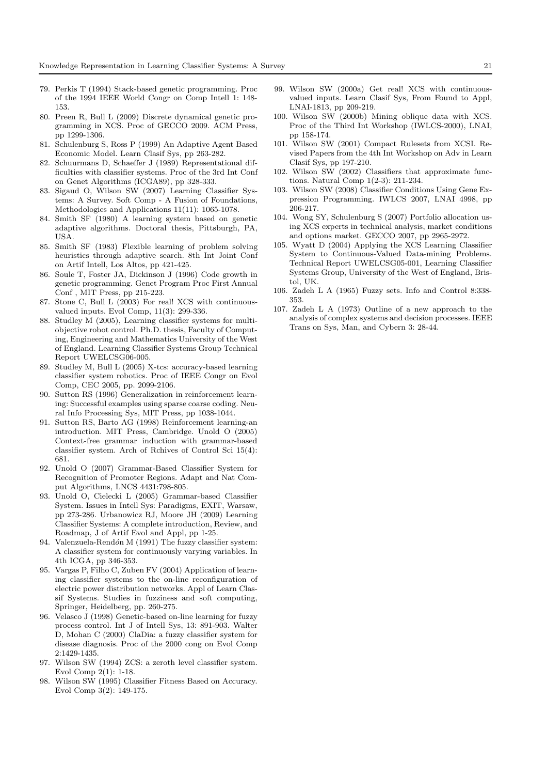- 79. Perkis T (1994) Stack-based genetic programming. Proc of the 1994 IEEE World Congr on Comp Intell 1: 148- 153.
- 80. Preen R, Bull L (2009) Discrete dynamical genetic programming in XCS. Proc of GECCO 2009. ACM Press, pp 1299-1306.
- 81. Schulenburg S, Ross P (1999) An Adaptive Agent Based Economic Model. Learn Clasif Sys, pp 263-282.
- 82. Schuurmans D, Schaeffer J (1989) Representational difficulties with classifier systems. Proc of the 3rd Int Conf on Genet Algorithms (ICGA89), pp 328-333.
- 83. Sigaud O, Wilson SW (2007) Learning Classifier Systems: A Survey. Soft Comp - A Fusion of Foundations, Methodologies and Applications 11(11): 1065-1078.
- 84. Smith SF (1980) A learning system based on genetic adaptive algorithms. Doctoral thesis, Pittsburgh, PA, USA.
- 85. Smith SF (1983) Flexible learning of problem solving heuristics through adaptive search. 8th Int Joint Conf on Artif Intell, Los Altos, pp 421-425.
- 86. Soule T, Foster JA, Dickinson J (1996) Code growth in genetic programming. Genet Program Proc First Annual Conf , MIT Press, pp 215-223.
- 87. Stone C, Bull L (2003) For real! XCS with continuousvalued inputs. Evol Comp, 11(3): 299-336.
- 88. Studley M (2005), Learning classifier systems for multiobjective robot control. Ph.D. thesis, Faculty of Computing, Engineering and Mathematics University of the West of England. Learning Classifier Systems Group Technical Report UWELCSG06-005.
- 89. Studley M, Bull L (2005) X-tcs: accuracy-based learning classifier system robotics. Proc of IEEE Congr on Evol Comp, CEC 2005, pp. 2099-2106.
- 90. Sutton RS (1996) Generalization in reinforcement learning: Successful examples using sparse coarse coding. Neural Info Processing Sys, MIT Press, pp 1038-1044.
- 91. Sutton RS, Barto AG (1998) Reinforcement learning-an introduction. MIT Press, Cambridge. Unold O (2005) Context-free grammar induction with grammar-based classifier system. Arch of Rchives of Control Sci 15(4): 681.
- 92. Unold O (2007) Grammar-Based Classifier System for Recognition of Promoter Regions. Adapt and Nat Comput Algorithms, LNCS 4431:798-805.
- 93. Unold O, Cielecki L (2005) Grammar-based Classifier System. Issues in Intell Sys: Paradigms, EXIT, Warsaw, pp 273-286. Urbanowicz RJ, Moore JH (2009) Learning Classifier Systems: A complete introduction, Review, and Roadmap, J of Artif Evol and Appl, pp 1-25.
- 94. Valenzuela-Rendón M (1991) The fuzzy classifier system: A classifier system for continuously varying variables. In 4th ICGA, pp 346-353.
- 95. Vargas P, Filho C, Zuben FV (2004) Application of learning classifier systems to the on-line reconfiguration of electric power distribution networks. Appl of Learn Classif Systems. Studies in fuzziness and soft computing, Springer, Heidelberg, pp. 260-275.
- 96. Velasco J (1998) Genetic-based on-line learning for fuzzy process control. Int J of Intell Sys, 13: 891-903. Walter D, Mohan C (2000) ClaDia: a fuzzy classifier system for disease diagnosis. Proc of the 2000 cong on Evol Comp 2:1429-1435.
- 97. Wilson SW (1994) ZCS: a zeroth level classifier system. Evol Comp 2(1): 1-18.
- 98. Wilson SW (1995) Classifier Fitness Based on Accuracy. Evol Comp 3(2): 149-175.
- 99. Wilson SW (2000a) Get real! XCS with continuousvalued inputs. Learn Clasif Sys, From Found to Appl, LNAI-1813, pp 209-219.
- 100. Wilson SW (2000b) Mining oblique data with XCS. Proc of the Third Int Workshop (IWLCS-2000), LNAI, pp 158-174.
- 101. Wilson SW (2001) Compact Rulesets from XCSI. Revised Papers from the 4th Int Workshop on Adv in Learn Clasif Sys, pp 197-210.
- 102. Wilson SW (2002) Classifiers that approximate functions. Natural Comp 1(2-3): 211-234.
- 103. Wilson SW (2008) Classifier Conditions Using Gene Expression Programming. IWLCS 2007, LNAI 4998, pp 206-217.
- 104. Wong SY, Schulenburg S (2007) Portfolio allocation using XCS experts in technical analysis, market conditions and options market. GECCO 2007, pp 2965-2972.
- 105. Wyatt D (2004) Applying the XCS Learning Classifier System to Continuous-Valued Data-mining Problems. Technical Report UWELCSG05-001, Learning Classifier Systems Group, University of the West of England, Bristol, UK.
- 106. Zadeh L A (1965) Fuzzy sets. Info and Control 8:338- 353.
- 107. Zadeh L A (1973) Outline of a new approach to the analysis of complex systems and decision processes. IEEE Trans on Sys, Man, and Cybern 3: 28-44.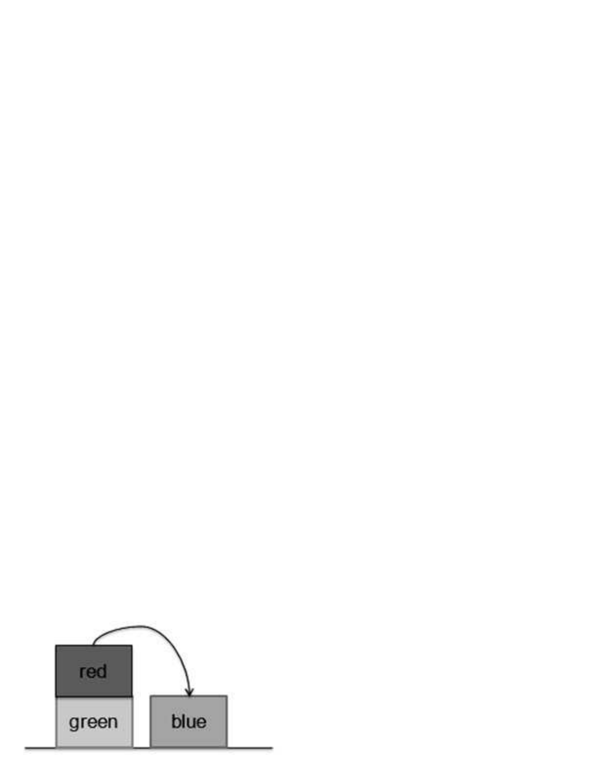